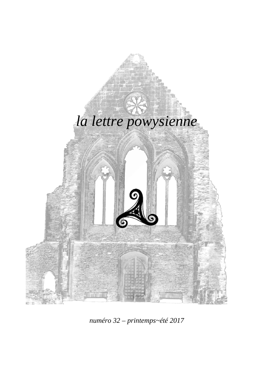

*numéro 32 – printemps~été 2017*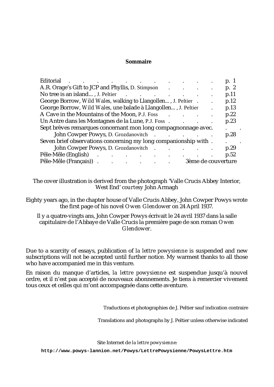#### **Sommaire**

| Editorial<br>the contract of the contract of the                     |                                                           |                                                             |  |                    | p. 1 |
|----------------------------------------------------------------------|-----------------------------------------------------------|-------------------------------------------------------------|--|--------------------|------|
| A.R. Orage's Gift to JCP and Phyllis, D. Stimpson .                  |                                                           | $\mathcal{L}^{\text{max}}$ , and $\mathcal{L}^{\text{max}}$ |  |                    | p. 2 |
| No tree is an island, J. Peltier                                     | and the contract of the con-                              |                                                             |  |                    | p.11 |
| George Borrow, Wild Wales, walking to Llangollen, J. Peltier.        |                                                           |                                                             |  |                    | p.12 |
| George Borrow, Wild Wales, une balade à Llangollen, J. Peltier       |                                                           |                                                             |  |                    | p.13 |
| A Cave in the Mountains of the Moon, P.J. Foss                       |                                                           | $\sim 10^{-10}$                                             |  |                    | p.22 |
| Un Antre dans les Montagnes de la Lune, P.J. Foss.                   |                                                           | $\sim$ $\sim$ $\sim$                                        |  |                    | p.23 |
| Sept brèves remarques concernant mon long compagnonnage avec.        |                                                           |                                                             |  |                    |      |
| John Cowper Powys, D. Grozdanovitch                                  | $\sim$<br>$\ddot{\phantom{a}}$                            | <b>Contract Contract Contract</b>                           |  |                    | p.28 |
| Seven brief observations concerning my long companionship with.      |                                                           |                                                             |  |                    |      |
| John Cowper Powys, D. Grozdanovitch                                  |                                                           |                                                             |  |                    | p.29 |
| Pêle-Mêle (English)<br>$\mathbf{r} = \mathbf{r} \times \mathbf{r}$ . | $\bullet$ . The same $\bullet$                            |                                                             |  |                    | p.52 |
| Pêle-Mêle (Français)).<br>$\bullet$<br>$\bullet$                     | $\mathcal{L}(\mathcal{A})$ and $\mathcal{L}(\mathcal{A})$ |                                                             |  | 3ème de couverture |      |
|                                                                      |                                                           |                                                             |  |                    |      |

The cover illustration is derived from the photograph 'Valle Crucis Abbey Interior, West End' *courtesy* John Armagh

Eighty years ago, in the chapter house of Valle Crucis Abbey, John Cowper Powys wrote the first page of his novel *Owen Glendower* on 24 April 1937.

Il y a quatre-vingts ans, John Cowper Powys écrivait le 24 avril 1937 dans la salle capitulaire de l'Abbaye de Valle Crucis la première page de son roman *Owen Glendower*.

Due to a scarcity of essays, publication of *la lettre powysienne* is suspended and new subscriptions will not be accepted until further notice. My warmest thanks to all those who have accompanied me in this venture.

En raison du manque d'articles, *la lettre powysienne* est suspendue jusqu'à nouvel ordre, et il n'est pas accepté de nouveaux abonnements. Je tiens à remercier vivement tous ceux et celles qui m'ont accompagnée dans cette aventure.

Traductions et photographies de J. Peltier sauf indication contraire

Translations and photographs by J. Peltier unless otherwise indicated

Site Internet de *la lettre powysienne*:

**<http://www.powys-lannion.net/Powys/LettrePowysienne/PowysLettre.htm>**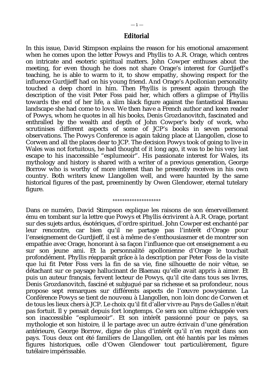In this issue, David Stimpson explains the reason for his emotional amazement when he comes upon the letter Powys and Phyllis to A.R. Orage, which centres on intricate and esoteric spiritual matters. John Cowper enthuses about the meeting, for even though he does not share Orage's interest for Gurdjieff's teaching, he is able to warm to it, to show empathy, showing respect for the influence Gurdjieff had on his young friend. And Orage's Apollonian personality touched a deep chord in him. Then Phyllis is present again through the description of the visit Peter Foss paid her, which offers a glimpse of Phyllis towards the end of her life, a slim black figure against the fantastical Blaenau landscape she had come to love. We then have a French author and keen reader of Powys, whom he quotes in all his books, Denis Grozdanovitch, fascinated and enthralled by the wealth and depth of John Cowper's body of work, who scrutinises different aspects of some of JCP's books in seven personal observations. The Powys Conference is again taking place at Llangollen, close to Corwen and all the places dear to JCP. The decision Powys took of going to live in Wales was not fortuitous, he had thought of it long ago, it was to be his very last escape to his inaccessible "esplumeoir". His passionate interest for Wales, its mythology and history is shared with a writer of a previous generation, George Borrow who is worthy of more interest than he presently receives in his own country. Both writers knew Llangollen well, and were haunted by the same historical figures of the past, preeminently by Owen Glendower, eternal tutelary figure.

*°°°°°°°°°°°°°°°°°°°°*

Dans ce numéro, David Stimpson explique les raisons de son émerveillement ému en tombant sur la lettre que Powys et Phyllis écrivirent à A.R. Orage, portant sur des sujets ardus, ésotériques, d'ordre spirituel. John Cowper est enchanté par leur rencontre, car bien qu'il ne partage pas l'intérêt d'Orage pour l'enseignement de Gurdjieff, il est à même de s'enthousiasmer et de montrer son empathie avec Orage, honorant à sa façon l'influence que cet enseignement a eu sur son jeune ami. Et la personnalité apollonienne d'Orage le touchait profondément. Phyllis réapparaît grâce à la description par Peter Foss de la visite que lui fit Peter Foss vers la fin de sa vie, fine silhouette de noir vêtue, se détachant sur ce paysage hallucinant de Blaenau qu'elle avait appris à aimer. Et puis un auteur français, fervent lecteur de Powys, qu'il cite dans tous ses livres, Denis Grozdanovitch, fasciné et subjugué par sa richesse et sa profondeur, nous propose sept remarques sur différents aspects de l'œuvre powysienne. La Conférence Powys se tient de nouveau à Llangollen, non loin donc de Corwen et de tous les lieux chers à JCP. Le choix qu'il fit d'aller vivre au Pays de Galles n'était pas fortuit. Il y pensait depuis fort longtemps. Ce sera son ultime échappée vers son inaccessible "esplumeoir". Et son intérêt passionné pour ce pays, sa mythologie et son histoire, il le partage avec un autre écrivain d'une génération antérieure, George Borrow, digne de plus d'intérêt qu'il n'en reçoit dans son pays. Tous deux ont été familiers de Llangollen, ont été hantés par les mêmes figures historiques, celle d'Owen Glendower tout particulièrement, figure tutélaire impérissable.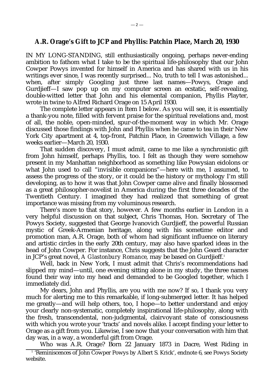## **A.R. Orage's Gift to JCP and Phyllis: Patchin Place, March 20, 1930**

IN MY LONG-STANDING, still enthusiastically ongoing, perhaps never-ending ambition to fathom what I take to be the spiritual life-philosophy that our John Cowper Powys invented for himself in America and has shared with us in his writings ever since, I was recently surprised... No, truth to tell I was astonished... when, after simply Googling just three last names—Powys, Orage and Gurdjieff—I saw pop up on my computer screen an ecstatic, self-revealing, double-witted letter that John and his elemental companion, Phyllis Playter, wrote in twine to Alfred Richard Orage on 15 April 1930.

The complete letter appears in Item I below. As you will see, it is essentially a thank-you note, filled with fervent praise for the spiritual revelations and, most of all, the noble, open-minded, spur-of-the-moment way in which Mr. Orage discussed those findings with John and Phyllis when he came to tea in their New York City apartment at 4, top-front, Patchin Place, in Greenwich Village, a few weeks earlier—March 20, 1930.

That sudden discovery, I must admit, came to me like a synchronistic gift from John himself, perhaps Phyllis, too. I felt as though they were somehow present in my Manhattan neighborhood as something like Powysian eidolons or what John used to call "invisible companions"—here with me, I assumed, to assess the progress of the story, or it could be the history or mythology I'm still developing, as to how it was that John Cowper came alive and finally blossomed as a great philosopher-novelist in America during the first three decades of the Twentieth Century. I imagined they had realized that something of great importance was missing from my voluminous research.

There's more to that story, however. A few months earlier in London in a very helpful discussion on that subject, Chris Thomas, Hon. Secretary of The Powys Society, suggested that George Ivanovich Gurdjieff, the powerful Russian mystic of Greek-Armenian heritage, along with his sometime editor and promotion man, A.R. Orage, both of whom had significant influence on literary and artistic circles in the early 20th century, may also have sparked ideas in the head of John Cowper. For instance, Chris suggests that the John Geard character in JCP's great novel, *A Glastonbury Romance*, may be based on Gurdjieff.<sup>1</sup>

Well, back in New York, I must admit that Chris's recommendations had slipped my mind—until, one evening sitting alone in my study, the three names found their way into my head and demanded to be Googled together, which I immediately did.

My dears, John and Phyllis, are you with me now? If so, I thank you very much for alerting me to this remarkable, if long-submerged letter. It has helped me greatly—and will help others, too, I hope—to better understand and enjoy your clearly non-systematic, completely inspirational life-philosophy, along with the fresh, transcendental, non-judgmental, clairvoyant state of consciousness with which you wrote your 'tracts' and novels alike. I accept finding your letter to Orage as a gift from you. Likewise, I see now that your conversation with him that day was, in a way, a wonderful gift from Orage.

Who was A.R. Orage? Born 22 January 1873 in Dacre, West Riding in  $^{\rm _{1}}$  'Reminiscences of John Cowper Powys by Albert S. Krick', endnote 6, see Powys Society website.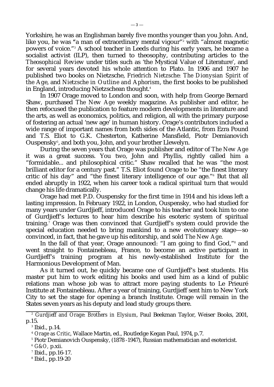Yorkshire, he was an Englishman barely five months younger than you John. And, like you, he was **"**a man of extraordinary mental vigour"<sup>2</sup> with "almost magnetic powers of voice."<sup>3</sup> A school teacher in Leeds during his early years, he became a socialist activist (ILP), then turned to theosophy, contributing articles to the *Theosophical Review* under titles such as 'the Mystical Value of Literature', and for several years devoted his whole attention to Plato. In 1906 and 1907 he published two books on Nietzsche, *Friedrich Nietzsche: The Dionysian Spirit of the Age*, and *Nietzsche in Outline and Aphorism*, the first books to be published in England, introducing Nietzschean thought.<sup>4</sup>

In 1907 Orage moved to London and soon, with help from George Bernard Shaw, purchased *The New Age* weekly magazine. As publisher and editor, he then refocused the publication to feature modern developments in literature and the arts, as well as economics, politics, and religion, all with the primary purpose of fostering an actual 'new age' in human history. Orage's contributors included a wide range of important names from both sides of the Atlantic, from Ezra Pound and T.S. Eliot to G.K. Chesterton, Katherine Mansfield, Piotr Demianovich Ouspensky<sup>s</sup>, and both you, John, and your brother Llewelyn.

During the seven years that Orage was publisher and editor of *The New Age* it was a great success. You two, John and Phyllis, rightly called him a "formidable... and philosophical critic." Shaw recalled that he was "the most brilliant editor for a century past." T.S. Eliot found Orage to be "the finest literary critic of his day" and "the finest literary intelligence of our age."<sup>6</sup> But that all ended abruptly in 1922, when his career took a radical spiritual turn that would change his life dramatically.

Orage had met P.D. Ouspensky for the first time in 1914 and his ideas left a lasting impression. In February 1922, in London, Ouspensky, who had studied for many years under Gurdjieff, introduced Orage to his teacher and took him to one of Gurdjieff's lectures to hear him describe his esoteric system of spiritual training.<sup>7</sup> Orage was then convinced that Gurdjieff's system could provide the special education needed to bring mankind to a new evolutionary stage—so convinced, in fact, that he gave up his editorship, and sold *The New Age.*

In the fall of that year, Orage announced: "I am going to find God,"<sup>8</sup> and went straight to Fontainebleau, France, to become an active participant in Gurdjieff's training program at his newly-established Institute for the Harmonious Development of Man.

As it turned out, he quickly became one of Gurdjieff's best students. His master put him to work editing his books and used him as a kind of public relations man whose job was to attract more paying students to Le Prieuré Institute at Fontainebleau. After a year of training, Gurdjieff sent him to New York City to set the stage for opening a branch Institute. Orage will remain in the States seven years as his deputy and lead study groups there.

7 Ibid., pp.16-17.

<sup>&</sup>lt;sup>2</sup> *Gurdjieff and Orage: Brothers in Elysium*, Paul Beekman Taylor, Weiser Books, 2001, p.15.

<sup>3</sup> Ibid., p.14.

<sup>4</sup> *Orage as Critic*, Wallace Martin, ed., Routledge Kegan Paul, 1974, p.7.

<sup>5</sup> Piotr Demianovich Ouspensky, (1878 -1947), Russian mathematician and esotericist.

<sup>6</sup> *G&O,* p.xii.

<sup>8</sup> Ibid., pp.19-20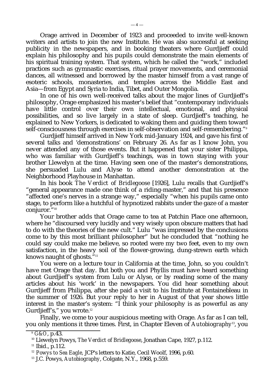Orage arrived in December of 1923 and proceeded to invite well-known writers and artists to join the new Institute. He was also successful at seeking publicity in the newspapers, and in booking theaters where Gurdjieff could explain his philosophy and his pupils could demonstrate the main elements of his spiritual training system. That system, which he called the "work," included practices such as gymnastic exercises, ritual prayer movements, and ceremonial dances, all witnessed and borrowed by the master himself from a vast range of esoteric schools, monasteries, and temples across the Middle East and Asia—from Egypt and Syria to India, Tibet, and Outer Mongolia.

In one of his own well-received talks about the major lines of Gurdjieff's philosophy, Orage emphasized his master's belief that "contemporary individuals have little control over their own intellectual, emotional, and physical possibilities, and so live largely in a state of sleep. Gurdjieff's teaching, he explained to New Yorkers, is dedicated to waking them and guiding them toward self-consciousness through exercises in self-observation and self-remembering."<sup>9</sup>

Gurdjieff himself arrived in New York mid-January 1924, and gave his first of several talks and 'demonstrations' on February 26. As far as I know John, you never attended any of those events. But it happened that your sister Philippa, who was familiar with Gurdjieff's teachings, was in town staying with your brother Llewelyn at the time. Having seen one of the master's demonstrations, she persuaded Lulu and Alyse to attend another demonstration at the Neighborhood Playhouse in Manhattan.

In his book *The Verdict of Bridlegoose* [1926], Lulu recalls that Gurdjieff's "general appearance made one think of a riding-master," and that his presence "affected one's nerves in a strange way," especially "when his pupils came onto stage, to perform like a hutchful of hypnotized rabbits under the gaze of a master conjuror."<sup>10</sup>

Your brother adds that Orage came to tea at Patchin Place one afternoon, where he "discoursed very lucidly and very wisely upon obscure matters that had to do with the theories of the new cult." Lulu "was impressed by the conclusions come to by this most brilliant philosopher" but he concluded that "nothing he could say could make me believe, so rooted were my two feet, even to my own satisfaction, in the heavy soil of the flower-growing, dung-strewn earth which knows naught of ghosts."<sup>11</sup>

You were on a lecture tour in California at the time, John, so you couldn't have met Orage that day. But both you and Phyllis must have heard something about Gurdjieff's system from Lulu or Alyse, or by reading some of the many articles about his 'work' in the newspapers. You did hear something about Gurdjieff from Philippa, after she paid a visit to his Institute at Fontainebleau in the summer of 1926. But your reply to her in August of that year shows little interest in the master's system: "I think your philosophy is as powerful as any Gurdjieff's," you wrote.<sup>12</sup>

Finally, we come to your auspicious meeting with Orage. As far as I can tell, you only mentions it three times. First, in Chapter Eleven of *Autobiography*13, you

<sup>9</sup> *G&O*, p.43.

<sup>10</sup> Llewelyn Powys, *The Verdict of Bridlegoose*, Jonathan Cape, 1927, p.112.

 $11$  Ibid., p.112.

<sup>&</sup>lt;sup>12</sup> *Powys to Sea Eagle, JCP's letters to Katie, Cecil Woolf, 1996, p.60.* 

<sup>13</sup> J.C. Powys, *Autobiography*, Colgate, N.Y., 1968, p.559.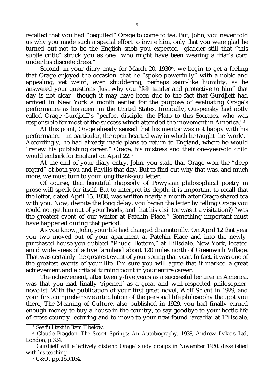recalled that you had "beguiled" Orage to come to tea. But, John, you never told us why you made such a special effort to invite him, only that you were glad he turned out not to be the English snob you expected—gladder still that "this subtle critic" struck you as one "who might have been wearing a friar's cord under his discrete dress."

Second, in your diary entry for March 20,  $1930<sup>14</sup>$ , we begin to get a feeling that Orage enjoyed the occasion, that he "spoke powerfully" with a noble and appealing, yet weird, even shuddering, perhaps saint-like humility, as he answered your questions. Just why you "felt tender and protective to him" that day is not clear—though it may have been due to the fact that Gurdjieff had arrived in New York a month earlier for the purpose of evaluating Orage's performance as his agent in the United States. Ironically, Ouspensky had aptly called Orage Gurdjieff's "perfect disciple, the Plato to this Socrates, who was responsible for most of the success which attended the movement in America."<sup>15</sup>

At this point, Orage already sensed that his mentor was not happy with his performance—in particular, the open-hearted way in which he taught the 'work'.<sup>16</sup> Accordingly, he had already made plans to return to England, where he would "renew his publishing career." Orage, his mistress and their one-year-old child would embark for England on April 22.<sup>17</sup>

At the end of your diary entry, John, you state that Orage won the "deep regard" of both you and Phyllis that day. But to find out why that was, and much more, we must turn to your long thank-you letter.

Of course, that beautiful rhapsody of Powysian philosophical poetry in prose will speak for itself. But to interpret its depth, it is important to recall that the letter, dated April 15, 1930, was written nearly a month after Orage shared tea with you. Now, despite the long delay, you began the letter by telling Orage you could not get him out of your heads, and that his visit (or was it a visitation?) "was the greatest event of our winter at Patchin Place." Something important must have happened during that period.

As you know, John, your life had changed dramatically. On April 12 that year you two moved out of your apartment at Patchin Place and into the newlypurchased house you dubbed "Phudd Bottom," at Hillsdale, New York, located amid wide areas of active farmland about 120 miles north of Greenwich Village. That was certainly the greatest event of your spring that year. In fact, it was one of the greatest events of your life. I'm sure you will agree that it marked a great achievement and a critical turning point in your entire career.

The achievement, after twenty-five years as a successful lecturer in America, was that you had finally 'ripened' as a great and well-respected philosophernovelist. With the publication of your first great novel, *Wolf Solent* in 1929, and your first comprehensive articulation of the personal life philosophy that got you there, *The Meaning of Culture*, also published in 1929, you had finally earned enough money to buy a house in the country, to say goodbye to your hectic life of cross-country lecturing and to move to your new-found 'arcadia' at Hillsdale,

<sup>&</sup>lt;sup>14</sup> See full text in Item II below.

<sup>15</sup> Claude Bragdon, *The Secret Springs: An Autobiography*, 1938, Andrew Dakers Ltd, London, p.324.

<sup>16</sup> Gurdjieff will effectively disband Orage' study groups in November 1930, dissatisfied with his teaching.

<sup>17</sup> *G&O*, pp.160,164.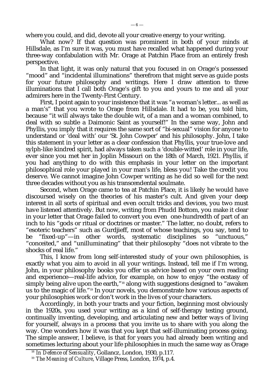where you could, and did, devote all your creative energy to your writing.

What now? If that question was prominent in both of your minds at Hillsdale, as I'm sure it was, you must have recalled what happened during your three-way confabulation with Mr. Orage at Patchin Place from an entirely fresh perspective.

In that light, it was only natural that you focused in on Orage's possessed "mood" and "incidental illuminations" therefrom that might serve as guide posts for your future philosophy and writings. Here I draw attention to three illuminations that I call both Orage's gift to you and yours to me and all your admirers here in the Twenty-First Century.

First, I point again to your insistence that it was "a woman's letter... as well as a man's" that you wrote to Orage from Hillsdale. It had to be, you told him, because "it will always take the double wit, of a man and a woman combined, to deal with so subtle a Daimonic Saint as yourself!" In the same way, John and Phyllis, you imply that it requires the same sort of "bi-sexual" vision for anyone to understand or 'deal with' our 'St. John Cowper' and his philosophy. John, I take this statement in your letter as a clear confession that Phyllis, your true-love and sylph-like kindred spirit, had always taken such a 'double-witted' role in your life, ever since you met her in Joplin Missouri on the 18th of March, 1921. Phyllis, if you had anything to do with this emphasis in your letter on the important philosophical role your played in your man's life, bless you! Take the credit you deserve. We cannot imagine John Cowper writing as he did so well for the next three decades without you as his transcendental soulmate.

Second, when Orage came to tea at Patchin Place, it is likely he would have discoursed wisely on the theories of his master's cult. And given your deep interest in all sorts of spiritual and even occult tricks and devices, you two must have listened attentively. But now, writing from Phudd Bottom, you make it clear in your letter that Orage failed to convert you even one-hundredth of part of an inch to his "gods or ritual or doctrines or master." The latter, no doubt, refers to "esoteric teachers" such as Gurdjieff, most of whose teachings, you say, tend to be "fixed-up"—in other words, systematic disciplines so "unctuous," "conceited," and "unilluminating" that their philosophy "does not vibrate to the shocks of real life."

This, I know from long self-interested study of your own philosophies, is exactly what you aim to avoid in all your writings. Instead, tell me if I'm wrong, John, in your philosophy books you offer us advice based on your own reading and experience—real-life advice, for example, on how to enjoy "the ecstasy of simply being alive upon the earth,"<sup>18</sup> along with suggestions designed to "awaken" us to the magic of life."19 In your novels, you demonstrate how various aspects of your philosophies work or don't work in the lives of your characters.

Accordingly, in both your tracts and your fiction, beginning most obviously in the 1920s, you used your writing as a kind of self-therapy testing ground, continually inventing, developing, and articulating new and better ways of living for yourself, always in a process that you invite us to share with you along the way. One wonders how it was that you kept that self-illuminating process going. The simple answer, I believe, is that for years you had already been writing and sometimes lecturing about your life philosophies in much the same way as Orage

<sup>&</sup>lt;sup>18</sup> In Defence of Sensuality, Gollancz, London, 1930, p.117.

<sup>&</sup>lt;sup>19</sup> *The Meaning of Culture*, Village Press, London, 1974, p.4.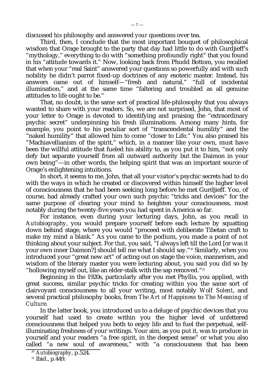discussed *his* philosophy and answered *your* questions over tea.

Third, then, I conclude that the most important bouquet of philosophical wisdom that Orage brought to the party that day had little to do with Gurdjieff's "mythology," everything to do with "something profoundly right" that you found in his "attitude towards it." Now, looking back from Phudd Bottom, you recalled that when your "real Saint" answered your questions so powerfully and with such nobility he didn't parrot fixed-up doctrines of any esoteric master. Instead, his answers came out of himself—"fresh and natural," "full of incidental illumination," and at the same time "faltering and troubled as all genuine attitudes to life ought to be."

That, no doubt, is the same sort of practical life-philosophy that you always wanted to share with your readers. So, we are not surprised, John, that most of your letter to Orage is devoted to identifying and praising the "extraordinary psychic secret" underpinning his fresh illuminations. Among many hints, for example, you point to his peculiar sort of "transcendental humility" and the "naked humility" that allowed him to come "closer to Life." You also praised his "Machiavellianism of the spirit," which, in a manner like your own, must have been the willful attitude that fueled his ability to, as you put it to him, "not only defy but separate yourself from all outward authority but the Daimon in your own being"—in other words, the helping spirit that was an important source of Orage's enlightening intuitions.

In short, it seems to me, John, that all your visitor's psychic secrets had to do with the ways in which he created or discovered within himself the higher level of consciousness that he had been seeking long before he met Gurdjieff. You, of course, had already crafted your own such psychic "tricks and devices" for the same purpose of clearing your mind to heighten your consciousness, most notably during the twenty-five years you had spent in America so far.

For instance, even during your lecturing days, John, as you recall in *Autobiography*, you would prepare yourself before each lecture by squatting down behind stage, where you would "proceed with deliberate Tibetan craft to make my mind a blank." As you came to the podium, you made a point of *not* thinking about your subject. For *that*, you said, "I always left till the Lord [or was it your own inner Daimon?] should tell me what I should say."20 Similarly, when you introduced your "great new art" of acting out on stage the voice, mannerism, and wisdom of the literary master you were lecturing about, you said you did so by "hollowing myself out, like an elder-stalk with the sap removed."<sup>21</sup>

Beginning in the 1920s, particularly after you met Phyllis, you applied, with great success, similar psychic tricks for creating within you the same sort of clairvoyant consciousness to all your writing, most notably *Wolf Solent*, and several practical philosophy books, from *The Art of Happiness* to *The Meaning of Culture.*

In the latter book, you introduced us to a deluge of psychic devices that you yourself had used to create within you the higher level of unfettered consciousness that helped you both to enjoy life and to fuel the perpetual, selfilluminating freshness of your writings. Your aim, as you put it, was to produce in yourself and your readers "a free spirit, in the deepest sense" or what you also called "a new soul of awareness," with "a consciousness that has been

<sup>20</sup> *Autobiography*, p.524.

 $21$  Ibid., p.449.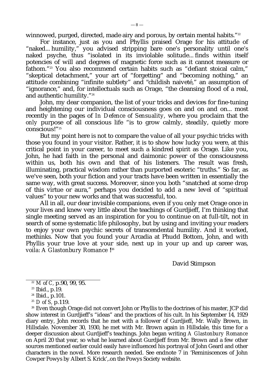winnowed, purged, directed, made airy and porous, by certain mental habits."<sup>22</sup>

For instance, just as you and Phyllis praised Orage for his attitude of "naked... humility," you advised stripping bare one's personality until one's naked psyche, thus "isolated in its inviolable solitude... finds within itself potencies of will and degrees of magnetic force such as it cannot measure or fathom."23 You also recommend certain habits such as "defiant stoical calm," "skeptical detachment," your art of "forgetting" and "becoming nothing," an attitude combining "infinite subtlety" and "childish naiveté," an assumption of "ignorance," and, for intellectuals such as Orage, "the cleansing flood of a real, and authentic humility."<sup>24</sup>

John, my dear companion, the list of your tricks and devices for fine-tuning and heightening our individual consciousness goes on and on and on... most recently in the pages of *In Defence of Sensuality,* where you proclaim that the *only* purpose of all conscious life "is to grow calmly, steadily, quietly more conscious!"<sup>25</sup>

But my point here is not to compare the value of all your psychic tricks with those you found in your visitor. Rather, it is to show how lucky you were, at this critical point in your career, to meet such a kindred spirit as Orage. Like you, John, he had faith in the personal and daimonic power of the consciousness within us, both his own and that of his listeners. The result was fresh, illuminating, practical wisdom rather than purported esoteric "truths." So far, as we've seen, both your fiction and your tracts have been written in essentially the same way, with great success. Moreover, since you both "snatched at some drop of this virtue or aura," perhaps you decided to add a new level of "spiritual values" to your new works and that was successful, too.

All in all, our dear invisible companions, even if you only met Orage once in your lives and knew very little about the teachings of Gurdjieff, I'm thinking that single meeting served as an inspiration for you to continue on at full-tilt, not in search of some systematic life philosophy, but by using and inviting your readers to enjoy your own psychic secrets of transcendental humility. And it worked, methinks. Now that you found your Arcadia at Phudd Bottom, John, and with Phyllis your true love at your side, next up in your up and up career was, *voila*: *A Glastonbury Romance* ! 26

### David Stimpson

<sup>26</sup> Even though Orage did not convert John or Phyllis to the doctrines of his master, JCP did show interest in Gurdjieff's "ideas" and the practices of his cult. In his September 14, 1929 diary entry, John records that he met with a follower of Gurdjieff, Mr. Wally Brown, in Hillsdale. November 30, 1930, he met with Mr. Brown again in Hillsdale, this time for a deeper discussion about Gurdjieff's teachings. John began writing *A Glastonbury Romance* on April 20 that year, so what he learned about Gurdjieff from Mr. Brown and a few other sources mentioned earlier could easily have influenced his portrayal of John Geard and other characters in the novel. More research needed. See endnote 7 in 'Reminiscences of John Cowper Powys by Albert S. Krick',.on the Powys Society website.

<sup>22</sup> *M of C,* p.90, 99, 95.

 $23$  Ibid., p.19.

<sup>&</sup>lt;sup>24</sup> Ibid., p.101.

<sup>25</sup> *D of S,* p.119.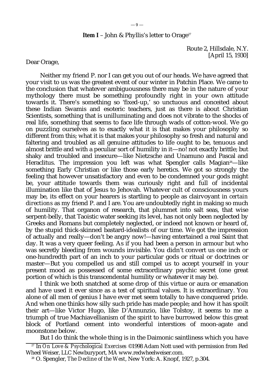### **Item I** – John & Phyllis's letter to Orage<sup>27</sup>

Route 2, Hillsdale, N.Y. [April 15, 1930]

Dear Orage,

Neither my friend P. nor I can get you out of our heads. We have agreed that your visit to us was the greatest event of our winter in Patchin Place. We came to the conclusion that whatever ambiguousness there may be in the nature of your mythology there must be something profoundly right in your own attitude towards it. There's something so 'fixed-up,' so unctuous and conceited about these Indian Swamis and esoteric teachers, just as there is about Christian Scientists, something that is unilluminating and does not vibrate to the shocks of real life, something that seems to face life through wads of cotton-wool. We go on puzzling ourselves as to exactly what it is that makes your philosophy so different from this; what it is that makes your philosophy so fresh and natural and faltering and troubled as all genuine attitudes to life ought to be, tenuous and almost brittle and with a peculiar sort of humility in it—no! not exactly brittle; but shaky and troubled and insecure—like Nietzsche and Unamuno and Pascal and Heraclitus. The impression you left was what Spengler calls Magian<sup>28</sup>—like something Early Christian or like those early heretics. We got so strongly the feeling that however unsatisfactory and even to be condemned your gods might be, your attitude towards them was curiously right and full of incidental illumination like that of Jesus to Jehovah. Whatever cult of consciousness yours may be, its effect on your hearers is startling to people as clairvoyant in *certain directions* as my friend P. and I are. You are undoubtedly right in making so much of humility. That organon of research, that plummet into salt seas, that wise serpent-belly, that Taoistic water seeking its level, has not only been neglected by Greeks and Romans but completely neglected, or indeed not known or heard of, by the stupid thick-skinned bastard-idealists of our time. We got the impression of actually and really—don't be angry now!—having entertained a real Saint that day. It was a very queer feeling. As if you had been a person in armour but who was secretly bleeding from wounds invisible. You didn't convert us one inch or one-hundredth part of an inch to your particular gods or ritual or doctrines or master—But you compelled us and still compel us to accept yourself in your present mood as possessed of some extraordinary psychic secret (one great portion of which is this transcendental humility or whatever it may be).

I think we both snatched at some drop of this virtue or aura or emanation and have used it ever since as a test of spiritual values. It is extraordinary. You alone of all men of genius I have ever met seem totally to have conquered pride. And when one thinks how silly such pride has made people; and how it has spoilt their art—like Victor Hugo, like D'Annunzio, like Tolstoy, it seems to me a triumph of true Machiavellianism of the spirit to have burrowed below this great block of Portland cement into wonderful interstices of moon-agate and moonstone below.

But I do think the whole thing is in the Daimonic saintliness which you have <sup>27</sup> In *On Love & Psychological Exercises* ©1998 Adam Nott used with permission from Red Wheel Weiser, LLC Newburyport, MA www.redwheelweiser.com.

<sup>28</sup> O. Spengler, *The Decline of the West*, New York: A. Knopf, 1927, p.304.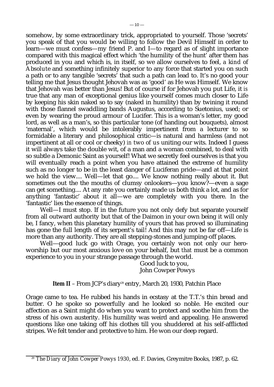somehow, by some extraordinary trick, appropriated to yourself. Those 'secrets' you speak of that you would be willing to follow the Devil Himself in order to learn—we must confess—my friend P. and I—to regard as of slight importance compared with this magical effect which 'the humility of the hunt' after them has produced in you and which is, in itself, so we allow ourselves to feel, *a kind of Absolute* and something infinitely superior to any force that started you on such a path or to any tangible 'secrets' that such a path can lead to. It's no good your telling me that Jesus thought Jehovah was as 'good' as He was Himself. We know that Jehovah was better than Jesus! But of course if for Jehovah you put Life, it *is* true that any man of exceptional genius like yourself comes much closer to Life by keeping his skin naked so to say (naked in humility) than by twining it round with those flannel swaddling bands Augustus, according to Suetonius, used; or even by wearing the proud armour of Lucifer. This is a woman's letter, my good lord, as well as a man's, so this particular tone (of handing out bouquets), almost 'maternal', which would be intolerably impertinent from a lecturer to so formidable a literary and philosophical critic—is natural and harmless (and not impertinent at all or cool or cheeky) *in two of us* uniting our wits. Indeed I guess it will always take the double wit, of a man and a woman combined, to deal with so subtle a Demonic Saint as yourself! What we secretly feel ourselves is that you will eventually reach a point when you have attained the extreme of humility such as no longer to be in the least danger of Luciferan pride—and at that point we hold the view.... Well—let that go.... We know nothing really about it. But sometimes out the the mouths of clumsy onlookers—you know?—even a sage can get something.... At any rate you certainly made us both think a lot, and as for anything 'fantastic' about it all—we are completely with you there. In the 'fantastic' lies the essence of things.

Well—I must stop. If in the future you not only defy but separate yourself from all outward authority but that of the Daimon in your own being it will only be, I fancy, when this planetary humility of yours that has proved so illuminating has gone the full length of its serpent's tail! And this may not be far off—Life is more than any authority. They are all stepping-stones and jumping-off places.

Well—good luck go with Orage, you certainly won not only our heroworship but our most anxious love on your behalf, but *that* must be a common experience to you in your strange passage through the world.

Good luck to you, John Cowper Powys

Item II – From JCP's diary<sup>29</sup> entry, March 20, 1930, Patchin Place

Orage came to tea. He rubbed his hands in ecstasy at the T.T.'s thin bread and butter. O he spoke so powerfully and he looked so noble. He excited our affection as a Saint might do when you want to protect and soothe him from the stress of his own austerity. His humility was weird and appealing. He answered questions like one taking off his clothes till you shuddered at his self-afflicted stripes. We felt tender and protective to him. He won our deep regard.

<sup>&</sup>lt;sup>29</sup> *The Diary of John Cowper Powys 1930*, ed. F. Davies, Greymitre Books, 1987, p. 62.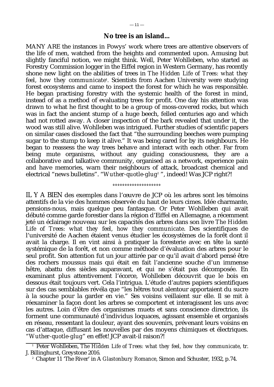### **No tree is an island...**

MANY ARE the instances in Powys' work where trees are attentive observers of the life of men, watched from the heights and commented upon. Amusing but slightly fanciful notion, we might think. Well, Peter Wohlleben, who started as Forestry Commission logger in the Eiffel region in Western Germany, has recently shone new light on the abilities of trees in *The Hidden Life of Trees: what they* feel, how they communicate<sup>1</sup>. Scientists from Aachen University were studying forest ecosystems and came to inspect the forest for which he was responsible. He began practising forestry with the systemic health of the forest in mind, instead of as a method of evaluating trees for profit. One day his attention was drawn to what he first thought to be a group of moss-covered rocks, but which was in fact the ancient stump of a huge beech, felled centuries ago and which had not rotted away. A closer inspection of the bark revealed that under it, the wood was still alive. Wohlleben was intrigued. Further studies of scientific papers on similar cases disclosed the fact that "the surrounding beeches were pumping sugar to the stump to keep it alive." It was being cared for by its neighbours. He began to reassess the way trees behave and interact with each other. Far from being mute organisms, without any guiding consciousness, they are a collaborative and talkative community, organised as a network, experience pain and have memories, warn their neighbours of attack, broadcast chemical and electrical "news bulletins". "*Wuther-quotle-glug*<sup>2</sup> ", indeed! Was JCP right?!

*°°°°°°°°°°°°°°°°°°°°*

IL Y A BIEN des exemples dans l'œuvre de JCP où les arbres sont les témoins attentifs de la vie des hommes observée du haut de leurs cimes. Idée charmante, pensions-nous, mais quelque peu fantasque. Or Peter Wohlleben qui avait débuté comme garde forestier dans la région d'Eiffel en Allemagne, a récemment jeté un éclairage nouveau sur les capacités des arbres dans son livre *The Hidden Life of Trees: what they feel, how they communicate*. Des scientifiques de l'université de Aachen étaient venus étudier les écosystèmes de la forêt dont il avait la charge. Il en vint ainsi à pratiquer la foresterie avec en tête la santé systémique de la forêt, et non comme méthode d'évaluation des arbres pour le seul profit. Son attention fut un jour attirée par ce qu'il avait d'abord pensé être des rochers moussus mais qui était en fait l'ancienne souche d'un immense hêtre, abattu des siècles auparavant, et qui ne s'était pas décomposée. En examinant plus attentivement l'écorce, Wohlleben découvrit que le bois en dessous était toujours vert. Cela l'intrigua. L'étude d'autres papiers scientifiques sur des cas semblables révéla que "les hêtres tout alentour apportaient du sucre à la souche pour la garder en vie." Ses voisins veillaient sur elle. Il se mit à réexaminer la façon dont les arbres se comportent et interagissent les uns avec les autres. Loin d'être des organismes muets et sans conscience directrice, ils forment une communauté d'individus loquaces, agissant ensemble et organisés en réseau, ressentant la douleur, ayant des souvenirs, prévenant leurs voisins en cas d'attaque, diffusant les nouvelles par des moyens chimiques et électriques. "*Wuther-quotle-glug*" en effet! JCP avait-il raison?!

<sup>&</sup>lt;sup>1</sup> Peter Wohlleben, *The Hidden Life of Trees: what they feel, how they communicate, tr.* J. Billinghurst, Greystone 2016.

<sup>2</sup> Chapter 11 'The River' in A *Glastonbury Romance*, Simon and Schuster, 1932, p.74.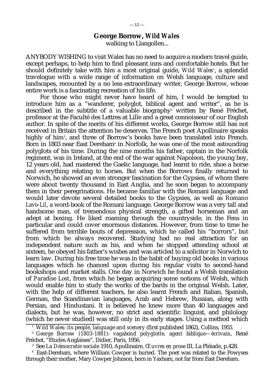# **George Borrow,** *Wild Wales*

walking to Llangollen...

ANYBODY WISHING to visit Wales has no need to acquire a modern travel guide, except perhaps, to help him to find pleasant inns and comfortable hotels. But he should definitely take with him a most original guide, *Wild Wales*', a splendid travelogue with a wide range of information on Welsh language, culture and landscapes, recounted by a no less extraordinary writer, George Borrow, whose entire work is a fascinating recreation of his life.

For those who might never have heard of him, I would be tempted to introduce him as a "wanderer, polyglot, biblical agent and writer", as he is described in the subtitle of a valuable biography<sup>2</sup> written by René Fréchet, professor at the Faculté des Lettres at Lille and a great connoisseur of our English author. In spite of the merits of his different works, George Borrow still has not received in Britain the attention he deserves. The French poet Apollinaire speaks highly of him<sup>3</sup>, and three of Borrow's books have been translated into French. Born in 1803 near East Dereham<sup>4</sup> in Norfolk, he was one of the most astounding polyglots of his time. During the nine months his father, captain in the Norfolk regiment, was in Ireland, at the end of the war against Napoleon, the young boy, 12 years old, had mastered the Gaelic language, had learnt to ride, shoe a horse and everything relating to horses. But when the Borrows finally returned to Norwich, he showed an even stronger fascination for the Gypsies, of whom there were about twenty thousand in East Anglia, and he soon began to accompany them in their peregrinations. He became familiar with the Romani language and would later devote several detailed books to the Gypsies, as well as *Romano Lavo-Lil*, a word-book of the Romani language. George Borrow was a very tall and handsome man, of tremendous physical strength, a gifted horseman and an adept at boxing. He liked roaming through the countryside, in the Fens in particular and could cover enormous distances. However, from time to time he suffered from terrible bouts of depression, which he called his "horrors", but from which he always recovered. Studying had no real attraction for an independent nature such as his, and when he stopped attending school at sixteen, he obeyed his father's wishes and was articled to a solicitor in Norwich to learn law. During his free time he was in the habit of buying old books in various languages which he chanced upon during his regular visits to second-hand bookshops and market stalls. One day in Norwich he found a Welsh translation of *Paradise Lost*, from which he began acquiring some notions of Welsh, which would enable him to study the works of the bards in the original Welsh. Later, with the help of different teachers, he also learnt French and Italian, Spanish, German, the Scandinavian languages, Arab and Hebrew, Russian, along with Persian, and Hindustani. It is believed he knew more than 40 languages and dialects, but he was, however, no strict and scientific linguist, and philology (which he never studied) was still only in its early stages. Using a method which

<sup>1</sup> *Wild Wales: its people, language and scenery* (first published 1862), Collins, 1955.

<sup>2</sup> *George Borrow (1803-1881): vagabond polyglotte, agent biblique—écrivain*, René Fréchet, "Etudes Anglaises", Didier, Paris, 1956.

<sup>3</sup> See *La Démocratie sociale* 1910, Apollinaire, *Œuvres en prose* III, La Pléiade, p.428.

<sup>4</sup> East-Dereham, where William Cowper is buried. The poet was related to the Powyses through their mother, Mary Cowper Johnson, born in Yaxham, not far from East Dereham.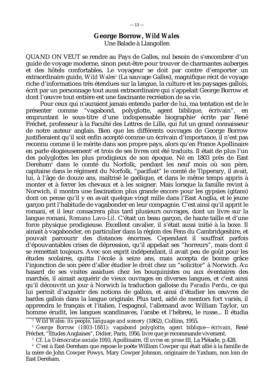### **George Borrow,** *Wild Wales* Une Balade à Llangollen

QUAND ON VEUT se rendre au Pays de Galles, nul besoin de s'encombrer d'un guide de voyage moderne, sinon peut-être pour trouver de charmantes auberges et des hôtels confortables. Le voyageur se doit par contre d'emporter un extraordinaire guide, *Wild Wales*<sup>1</sup> (La sauvage Galles), magnifique récit de voyage riche d'informations très étendues sur la langue, la culture et les paysages gallois, écrit par un personnage tout aussi extraordinaire qui s'appelait George Borrow et dont l'œuvre tout entière est une fascinante recréation de sa vie.

Pour ceux qui n'auraient jamais entendu parler de lui, ma tentation est de le présenter comme "vagabond, polyglotte, agent biblique, écrivain", en empruntant le sous-titre d'une indispensable biographie<sup>2</sup> écrite par René Fréchet, professeur à la Faculté des Lettres de Lille, qui fut un grand connaisseur de notre auteur anglais. Bien que les différents ouvrages de George Borrow justifieraient qu'il soit enfin accepté comme un écrivain d'importance, il n'est pas reconnu comme il le mérite dans son propre pays, alors qu'en France Apollinaire en parle élogieusement $^{\text{\tiny 3}}$  et trois de ses livres ont été traduits. Il était de plus l'un des polyglottes les plus prodigieux de son époque. Né en 1803 près de East Dereham<sup>4</sup> dans le comté du Norfolk, pendant les neuf mois où son père, capitaine dans le régiment du Norfolk, "pacifiait" le comté de Tipperary, il avait, lui, à l'âge de douze ans, maîtrisé le gaélique, et dans le même temps appris à monter et à ferrer les chevaux et à les soigner. Mais lorsque la famille revint à Norwich, il montra une fascination plus grande encore pour les gypsies (gitans) dont on pense qu'il y en avait quelque vingt mille dans l'East Anglia, et le jeune garçon prit l'habitude de vagabonder en leur compagnie. C'est ainsi qu'il apprit le romani, et il leur consacrera plus tard plusieurs ouvrages, dont un livre sur la langue romani, *Romano Lavo-Lil*. C'était un beau garçon, de haute taille et d'une force physique prodigieuse. Excellent cavalier, il s'était aussi initié à la boxe. Il aimait à vagabonder, en particulier dans la région des Fens du Cambridgeshire, et pouvait parcourir des distances énormes. Cependant il souffrait parfois d'épouvantables crises de dépression, qu'il appelait ses "horreurs", mais dont il se remettait toujours. Avec son esprit indépendant, il avait peu de goût pour les études scolaires, quitta l'école à seize ans, mais accepta de bonne grâce l'injonction de son père d'aller étudier le droit chez un "solicitor" à Norwich. Au hasard de ses visites assidues chez les bouquinistes ou aux éventaires des marchés, il aimait acquérir de vieux ouvrages en diverses langues, et c'est ainsi qu'il découvrit un jour à Norwich la traduction galloise du *Paradis Perdu*, ce qui lui permit d'acquérir des notions de gallois, et ainsi d'étudier les œuvres de bardes gallois dans la langue originale. Plus tard, aidé de mentors fort variés, il apprendra le français et l'italien, l'espagnol, l'allemand avec William Taylor, un homme érudit, les langues scandinaves, l'arabe et l'hébreu, le russe... Il étudia

<sup>2</sup> *George Borrow (1803-1881): vagabond polyglotte, agent biblique—écrivain*, René Fréchet, "Etudes Anglaises", Didier, Paris, 1956, livre que je recommande vivement.

<sup>3</sup> Cf. *La Démocratie sociale* 1910, Apollinaire, *Œuvres en prose* III, La Pléiade, p.428.

<sup>1</sup> *Wild Wales: its people, language and scenery* (1862), Collins, 1955.

<sup>4</sup> C'est à East-Dereham que repose le poète William Cowper qui était allié à la famille de la mère de John Cowper Powys, Mary Cowper Johnson, originaire de Yaxham, non loin de East Dereham.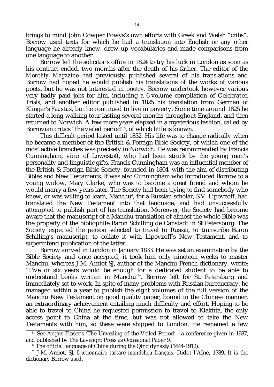brings to mind John Cowper Powys's own efforts with Greek and Welsh "cribs", Borrow used texts for which he had a translation into English or any other language he already knew, drew up vocabularies and made comparisons from one language to another.

Borrow left the solicitor's office in 1824 to try his luck in London as soon as his contract ended, two months after the death of his father. The editor of the *Monthly Magazine* had previously published several of his translations and Borrow had hoped he would publish his translations of the works of various poets, but he was not interested in poetry. Borrow undertook however various very badly paid jobs for him, including a 6-volume compilation of *Celebrated Trials*, and another editor published in 1825 his translation from German of Klinger's *Faustus*, but he continued to live in poverty. Some time around 1825 he started a long walking tour lasting several months throughout England, and then returned to Norwich. A few more years elapsed in a mysterious fashion, called by Borrovian critics "the veiled period"<sup>,</sup> of which little is known.

This difficult period lasted until 1832. His life was to change radically when he became a member of the British & Foreign Bible Society, of which one of the most active branches was precisely in Norwich. He was recommended by Francis Cunningham, vicar of Lowestoft, who had been struck by the young man's personality and linguistic gifts. Francis Cunningham was an influential member of the British & Foreign Bible Society, founded in 1804, with the aim of distributing Bibles and New Testaments. It was also Cunningham who introduced Borrow to a young widow, Mary Clarke, who was to become a great friend and whom he would marry a few years later. The Society had been trying to find somebody who knew, or was willing to learn, Manchu $^{\rm \scriptscriptstyle 6}$ , for a Russian scholar, S.V. Lipovzoff, had translated the New Testament into that language, and had unsuccessfully attempted to publish part of his translation. Moreover, the Society had become aware that the manuscript of a Manchu translation of almost the whole Bible was the property of the bibliophile Baron Schilling de Canstadt in St Petersburg. The Society expected the person selected to travel to Russia, to transcribe Baron Schilling's manuscript, to collate it with Lipovzoff's New Testament, and to superintend publication of the latter.

Borrow arrived in London in January 1833. He was set an examination by the Bible Society and once accepted, it took him only nineteen weeks to master Manchu, whereas J-M. Amiot SJ, author of the Manchu-French dictionary, wrote: "Five or six years would be enough for a dedicated student to be able to understand books written in Manchu"<sup>7</sup> . Borrow left for St. Petersburg and immediately set to work. In spite of many problems with Russian bureaucracy, he managed within a year to publish the eight volumes of the full version of the Manchu New Testament on good quality paper, bound in the Chinese manner, an extraordinary achievement entailing much difficulty and effort. Hoping to be able to travel to China he requested permission to travel to Kiakhta, the only access point to China at the time, but was not allowed to take the New Testaments with him, so these were shipped to London. He remained a few

<sup>5</sup> See Angus Fraser's 'The Unveiling of the Veiled Period'—a conference given in 1987, and published by The Lavengro Press as Occasional Paper 9.

<sup>&</sup>lt;sup>6</sup> The official language of China during the Qing dynasty (1644-1912).

<sup>7</sup> J-M. Amiot, SJ, *Dictionnaire tartare mandchou-français*, Didot l'Aîné, 1789. It is the dictionary Borrow used.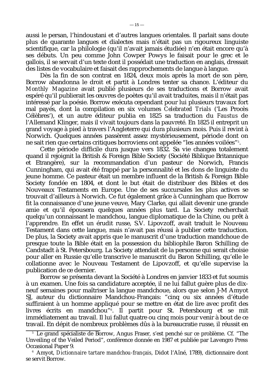aussi le persan, l'hindoustani et d'autres langues orientales. Il parlait sans doute plus de quarante langues et dialectes mais n'était pas un rigoureux linguiste scientifique, car la philologie (qu'il n'avait jamais étudiée) n'en était encore qu'à ses débuts. Un peu comme John Cowper Powys le faisait pour le grec et le gallois, il se servait d'un texte dont il possédait une traduction en anglais, dressait des listes de vocabulaire et faisait des rapprochements de langue à langue.

Dès la fin de son contrat en 1824, deux mois après la mort de son père, Borrow abandonna le droit et partit à Londres tenter sa chance. L'éditeur du *Monthly Magazine* avait publié plusieurs de ses traductions et Borrow avait espéré qu'il publierait les œuvres de poètes qu'il avait traduites, mais il n'était pas intéressé par la poésie. Borrow exécuta cependant pour lui plusieurs travaux fort mal payés, dont la compilation en six volumes *Celebrated Trials* ('Les Procès Célèbres'), et un autre éditeur publia en 1825 sa traduction du *Faustus* de l'Allemand Klinger, mais il vivait toujours dans la pauvreté. En 1825 il entreprit un grand voyage à pied à travers l'Angleterre qui dura plusieurs mois. Puis il revint à Norwich. Quelques années passèrent assez mystérieusement, période dont on ne sait rien que certains critiques borroviens ont appelée "les années voilées"<sup>5</sup> .

Cette période difficile dura jusque vers 1832. Sa vie changea totalement quand il rejoignit la British & Foreign Bible Society (Société Biblique Britannique et Etrangère), sur la recommandation d'un pasteur de Norwich, Francis Cunningham, qui avait été frappé par la personnalité et les dons de linguiste du jeune homme. Ce pasteur était un membre influent de la British & Foreign Bible Society fondée en 1804, et dont le but était de distribuer des Bibles et des Nouveaux Testaments en Europe. Une de ses succursales les plus actives se trouvait d'ailleurs à Norwich. Ce fut également grâce à Cunningham que Borrow fit la connaissance d'une jeune veuve, Mary Clarke, qui allait devenir une grande amie et qu'il épousera quelques années plus tard. La Society recherchait quelqu'un connaissant le mandchou, langue diplomatique de la Chine, ou prêt à l'apprendre. En effet un érudit russe, S.V. Lipovzoff, avait traduit le Nouveau Testament dans cette langue, mais n'avait pas réussi à publier cette traduction. De plus, la Society avait appris que le manuscrit d'une traduction mandchoue de presque toute la Bible était en la possession du bibliophile Baron Schilling de Candstadt à St. Petersbourg. La Society attendait de la personne qui serait choisie pour aller en Russie qu'elle transcrive le manuscrit du Baron Schilling, qu'elle le collationne avec le Nouveau Testament de Lipovzoff, et qu'elle supervise la publication de ce dernier.

Borrow se présenta devant la Société à Londres en janvier 1833 et fut soumis à un examen. Une fois sa candidature acceptée, il ne lui fallut guère plus de dixneuf semaines pour maîtriser la langue mandchoue, alors que selon J-M Amyot SJ, auteur du dictionnaire Mandchou-Français: "cinq ou six années d'étude suffiraient à un homme appliqué pour se mettre en état de lire avec profit des livres écrits en mandchou"<sup>6</sup> . Il partit pour St. Petersbourg et se mit immédiatement au travail. Il lui fallut quatre ou cinq mois pour venir à bout de ce travail. En dépit de nombreux problèmes dûs à la bureaucratie russe, il réussit en

<sup>&</sup>lt;sup>5</sup> Le grand spécialiste de Borrow, Angus Fraser, s'est penché sur ce problème. Cf. "The Unveiling of the Veiled Period", conférence donnée en 1987 et publiée par Lavengro Press Occasional Paper 9.

<sup>6</sup> Amyot, *Dictionnaire tartare mandchou-français*, Didot l'Aîné, 1789), dictionnaire dont se servit Borrow.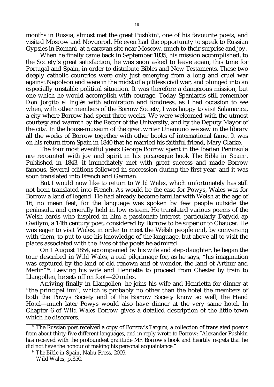months in Russia, almost met the great Pushkin<sup>s</sup>, one of his favourite poets, and visited Moscow and Novgorod. He even had the opportunity to speak to Russian Gypsies in Romani at a caravan site near Moscow, much to their surprise and joy.

When he finally came back in September 1835, his mission accomplished, to the Society's great satisfaction, he was soon asked to leave again, this time for Portugal and Spain, in order to distribute Bibles and New Testaments. These two deeply catholic countries were only just emerging from a long and cruel war against Napoleon and were in the midst of a pitiless civil war, and plunged into an especially unstable political situation. It was therefore a dangerous mission, but one which he would accomplish with courage. Today Spaniards still remember *Don Jorgito el Inglès* with admiration and fondness, as I had occasion to see when, with other members of the Borrow Society, I was happy to visit Salamanca, a city where Borrow had spent three weeks. We were welcomed with the utmost courtesy and warmth by the Rector of the University, and by the Deputy Mayor of the city. In the house-museum of the great writer Unamuno we saw in the library all the works of Borrow together with other books of international fame. It was on his return from Spain in 1840 that he married his faithful friend, Mary Clarke.

The four most eventful years George Borrow spent in the Iberian Peninsula are recounted with joy and spirit in his picaresque book *The Bible in Spain*<sup>9</sup> . Published in 1843, it immediately met with great success and made Borrow famous. Several editions followed in succession during the first year, and it was soon translated into French and German.

But I would now like to return to *Wild Wales*, which unfortunately has still not been translated into French. As would be the case for Powys, Wales was for Borrow a land of legend. He had already become familiar with Welsh at the age of 16, no mean feat, for the language was spoken by few people outside the peninsula, and generally held in low esteem. He translated various poems of the Welsh bards who inspired in him a passionate interest, particularly Dafydd ap Gwilym, a 14th century poet, considered by Borrow to be superior to Chaucer. He was eager to visit Wales, in order to meet the Welsh people and, by conversing with them, to put to use his knowledge of the language, but above all to visit the places associated with the lives of the poets he admired.

On 1 August 1854, accompanied by his wife and step-daughter, he began the tour described in *Wild Wales*, a real pilgrimage for, as he says, "his imagination was captured by the land of old renown and of wonder, the land of Arthur and Merlin<sup> $\bar{m}$ 10. Leaving his wife and Henrietta to proceed from Chester by train to</sup> Llangollen, he sets off on foot—20 miles.

Arriving finally in Llangollen, he joins his wife and Henrietta for dinner at "the principal inn", which is probably no other than the hotel the members of both the Powys Society and of the Borrow Society know so well, the Hand Hotel—much later Powys would also have dinner at the very same hotel. In Chapter 6 of *Wild Wales* Borrow gives a detailed description of the little town which he discovers.

<sup>&</sup>lt;sup>8</sup> The Russian poet received a copy of Borrow's *Targum*, a collection of translated poems from about thirty-five different languages, and in reply wrote to Borrow: "Alexander Pushkin has received with the profoundest gratitude Mr. Borrow's book and heartily regrets that he did not have the honour of making his personal acquaintance."

<sup>9</sup> *The Bible in Spain*, Nabu Press, 2009.

<sup>10</sup> *Wild Wales*, p.350.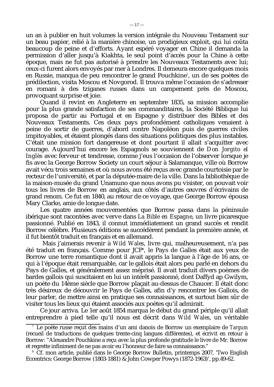un an à publier en huit volumes la version intégrale du Nouveau Testament sur un beau papier, relié à la manière chinoise, un prodigieux exploit, qui lui coûta beaucoup de peine et d'efforts. Ayant espéré voyager en Chine il demanda la permission d'aller jusqu'à Kiakhta, le seul point d'accès pour la Chine à cette époque, mais ne fut pas autorisé à prendre les Nouveaux Testaments avec lui; ceux-ci furent alors envoyés par mer à Londres. Il demeura encore quelques mois en Russie, manqua de peu rencontrer le grand Pouchkine<sup>7</sup> , un de ses poètes de prédilection, visita Moscou et Novgorod. Il trouva même l'occasion de s'adresser en romani à des tziganes russes dans un campement près de Moscou, provoquant surprise et joie.

Quand il revint en Angleterre en septembre 1835, sa mission accomplie pour la plus grande satisfaction de ses commanditaires, la Société Biblique lui proposa de partir au Portugal et en Espagne y distribuer des Bibles et des Nouveaux Testaments. Ces deux pays profondément catholiques venaient à peine de sortir de guerres, d'abord contre Napoléon puis de guerres civiles impitoyables, et étaient plongés dans des situations politiques des plus instables. C'était une mission fort dangereuse et dont pourtant il allait s'acquitter avec courage. Aujourd'hui encore les Espagnols se souviennent de *Don Jorgito el Inglès* avec ferveur et tendresse, comme j'eus l'occasion de l'observer lorsque je fis avec la George Borrow Society un court séjour à Salamanque, ville où Borrow avait vécu trois semaines et où nous avons été reçus avec grande courtoisie par le recteur de l'université, et par la députée-maire de la ville. Dans la bibliothèque de la maison-musée du grand Unamuno que nous avons pu visister, on pouvait voir tous les livres de Borrow en anglais, aux côtés d'autres œuvres d'écrivains de grand renom. Ce fut en 1840, au retour de ce voyage, que George Borrow épousa Mary Clarke, amie de longue date.

Les quatre années mouvementées que Borrow passa dans la péninsule ibérique sont racontées avec verve dans *La Bible en Espagne*, un livre picaresque passionné. Publié en 1843, il connut immédiatement un grand succès et rendit Borrow célèbre. Plusieurs éditions se succédèrent pendant la première année, et il fut bientôt traduit en français et en allemand.

 Mais j'aimerais revenir à *Wild Wales*, livre qui, malheureusement, n'a pas été traduit en français. Comme pour JCP<sup>8</sup> , le Pays de Galles était aux yeux de Borrow une terre romantique dont il avait appris la langue à l'âge de 16 ans, ce qui à l'époque était remarquable, car le gallois était alors peu parlé en dehors du Pays de Galles, et généralement assez méprisé. Il avait traduit divers poèmes de bardes gallois qui suscitaient en lui un intérêt passionné, dont Daffyd ap Gwilym, un poète du 14ème siècle que Borrow plaçait au-dessus de Chaucer. Il était donc très désireux de découvrir le Pays de Galles, afin d'y rencontrer les Gallois, de leur parler, de mettre ainsi en pratique ses connaissances, et surtout bien sûr de visiter tous les lieux qui étaient associés aux poètes qu'il admirait.

Ce jour arriva. Le 1er août 1854 marqua le début du grand périple qu'il allait entreprendre à pied telle qu'il nous est décrit dans *Wild Wales*, un véritable

<sup>7</sup> Le poète russe reçut des mains d'un ami danois de Borrow un exemplaire de *Targum* (recueil de traductions de quelques trente-cinq langues différentes), et écrivit en retour à Borrow: "Alexandre Pouchkine a reçu avec la plus profonde gratitude le livre de Mr. Borrow et regrette infiniment de ne pas avoir eu l'honneur de faire sa connaissance."

<sup>8</sup> Cf. mon article, publié dans le George Borrow Bulletin, printemps 2007, 'Two English Eccentrics: George Borrow (1803-1881) & John Cowper Powys (1872-1963)', pp.49-62.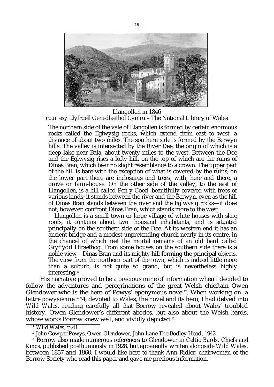

Llangollen in 1846 *courtesy* Llyfrgell Genedlaethol Cymru – The National Library of Wales

The northern side of the vale of Llangollen is formed by certain enormous rocks called the Eglwysig rocks, which extend from east to west, a distance of about two miles. The southern side is formed by the Berwyn hills. The valley is intersected by the River Dee, the origin of which is a deep lake near Bala, about twenty miles to the west. Between the Dee and the Eglwysig rises a lofty hill, on the top of which are the ruins of Dinas Bran, which bear no slight resemblance to a crown. The upper part of the hill is bare with the exception of what is covered by the ruins; on the lower part there are inclosures and trees, with, here and there, a grove or farm-house. On the other side of the valley, to the east of Llangollen, is a hill called Pen y Coed, beautifully covered with trees of various kinds; it stands between the river and the Berwyn, even as the hill of Dinas Bran stands between the river and the Eglwysig rocks—it does not, however, confront Dinas Bran, which stands more to the west.

Llangollen is a small town or large village of white houses with slate roofs, it contains about two thousand inhabitants, and is situated principally on the southern side of the Dee. At its western end it has an ancient bridge and a modest unpretending church nearly in its centre, in the chancel of which rest the mortal remains of an old bard called Gryffydd Hiraethog. From some houses on the southern side there is a noble view—Dinas Bran and its mighty hill forming the principal objects. The view from the northern part of the town, which is indeed little more than a suburb, is not quite so grand, but is nevertheless highly interesting. $11$ 

His narrative proved to be a precious mine of information when I decided to follow the adventures and peregrinations of the great Welsh chieftain Owen Glendower who is the hero of Powys' eponymous novel<sup>12</sup>. When working on *la lettre powysienne* n°4, devoted to Wales, the novel and its hero, I had delved into *Wild Wales*, reading carefully all that Borrow revealed about Wales' troubled history, Owen Glendower's different abodes, but also about the Welsh bards, whose works Borrow knew well, and vividly depicted.<sup>13</sup>

<sup>13</sup> Borrow also made numerous references to Glendower in *Celtic Bards, Chiefs and Kings*, published posthumously in 1928, but apparently written alongside *Wild Wales*, between 1857 and 1860. I would like here to thank Ann Ridler, chairwoman of the Borrow Society who read this paper and gave me precious information.

<sup>11</sup> *Wild Wales*, p.41.

<sup>12</sup> John Cowper Powys, *Owen Glendower*, John Lane The Bodley Head, 1942.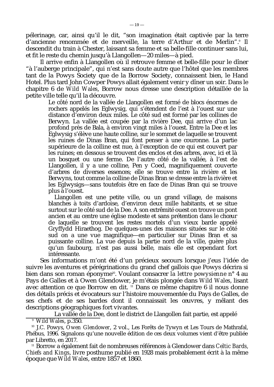pélerinage, car, ainsi qu'il le dit, "son imagination était captivée par la terre d'ancienne renommée et de merveille, la terre d'Arthur et de Merlin".º Il descendit du train à Chester, laissant sa femme et sa belle-fille continuer sans lui, et fit le reste du chemin jusqu'à Llangollen—20 miles—à pied.

Il arrive enfin à Llangollen où il retrouve femme et belle-fille pour le dîner "à l'auberge principale", qui n'est sans doute autre que l'hôtel que les membres tant de la Powys Society que de la Borrow Society, connaissent bien, le Hand Hotel. Plus tard John Cowper Powys allait également venir y dîner un soir. Dans le chapitre 6 de *Wild Wales*, Borrow nous dresse une description détaillée de la petite ville telle qu'il la découvre.

Le côté nord de la vallée de Llangollen est formé de blocs énormes de rochers appelés les Eglwysig, qui s'étendent de l'est à l'ouest sur une distance d'environ deux miles. Le côté sud est formé par les collines de Berwyn. La vallée est coupée par la rivière Dee, qui arrive d'un lac profond près de Bala, à environ vingt miles à l'ouest. Entre la Dee et les Eglwysig s'élève une haute colline, sur le sommet de laquelle se trouvent les ruines de Dinas Bran, qui font penser à une couronne. La partie supérieure de la colline est nue, à l'exception de ce qui est couvert par les ruines; en dessous se trouvent des enclos et des arbres, avec, ici et là un bosquet ou une ferme. De l'autre côté de la vallée, à l'est de Llangollen, il y a une colline, Pen y Coed, magnifiquement couverte d'arbres de diverses essences; elle se trouve entre la rivière et les Berwyns, tout comme la colline de Dinas Bran se dresse entre la rivière et les Eglwysigs—sans toutefois être en face de Dinas Bran qui se trouve plus à l'ouest.

Llangollen est une petite ville, ou un grand village, de maisons blanches à toits d'ardoise, d'environ deux mille habitants, et se situe surtout sur le côté sud de la Dee. A son extrêmité ouest on trouve un pont ancien et au centre une église modeste et sans prétention dans le chœur de laquelle se trouvent les restes mortels d'un vieux barde appelé Gryffydd Hiraethog. De quelques-unes des maisons situées sur le côté sud on a une vue magnifique—en particulier sur Dinas Bran et sa puissante colline. La vue depuis la partie nord de la ville, guère plus qu'un faubourg, n'est pas aussi belle, mais elle est cependant fort intéressante.

Ses informations m'ont été d'un précieux secours lorsque j'eus l'idée de suivre les aventures et pérégrinations du grand chef gallois que Powys décrira si bien dans son roman éponyme<sup>10</sup>. Voulant consacrer *la lettre powysienne* n° 4 au Pays de Galles et à Owen Glendower, je m'étais plongée dans *Wild Wales*, lisant avec attention ce que Borrow en dit. 11 Dans ce même chapitre 6 il nous donne des détails précis et évocateurs sur l'histoire mouvementée du Pays de Galles, de ses chefs et de ses bardes dont il connaissait les œuvres, y mêlant des descriptions géographiques fort vivantes.

La vallée de la Dee, dont le district de Llangollen fait partie, est appelé <sup>9</sup> *Wild Wales*, p.350.

<sup>10</sup> J.C. Powys, *Owen Glendower*, 2 vol., Les Forêts de Tywyn et Les Tours de Mathrafal, Phébus, 1996. Signalons qu'une nouvelle édition de ces deux volumes vient d'être publiée par Libretto, en 2017.

<sup>11</sup> Borrow a également fait de nombreuses références à Glendower dans *Celtic Bards, Chiefs and Kings*, livre posthume publié en 1928 mais probablement écrit à la même époque que *Wild Wales*, entre 1857 et 1860.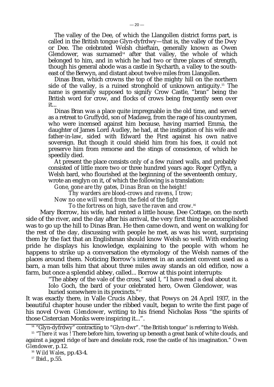The valley of the Dee, of which the Llangollen district forms part, is called in the British tongue Glyn-dyfrdwy—that is, the valley of the Dwy or Dee. The celebrated Welsh chieftain, generally known as Owen Glendower, was surnamed $14$  after that valley, the whole of which belonged to him, and in which he had two or three places of strength, though his general abode was a castle in Sycharth, a valley to the southeast of the Berwyn, and distant about twelve miles from Llangollen.

Dinas Bran, which crowns the top of the mighty hill on the northern side of the valley, is a ruined stronghold of unknown antiquity.15 The name is generally supposed to signify Crow Castle, "bran" being the British word for crow, and flocks of crows being frequently seen over it...

Dinas Bran was a place quite impregnable in the old time, and served as a retreat to Gruffydd, son of Madawg, from the rage of his countrymen, who were incensed against him because, having married Emma, the daughter of James Lord Audley, he had, at the instigation of his wife and father-in-law, sided with Edward the First against his own native sovereign. But though it could shield him from his foes, it could not preserve him from remorse and the stings of conscience, of which he speedily died.

At present the place consists only of a few ruined walls, and probably consisted of little more two or three hundred years ago: Roger Cyffyn, a Welsh bard, who flourished at the beginning of the seventeenth century, wrote an englyn on it, of which the following is a translation:

*Gone, gone are thy gates, Dinas Bran on the height! Thy warders are blood-crows and ravens, I trow; Now no one will wend from the field of the fight To the fortress on high, save the raven and crow.*<sup>16</sup>

Mary Borrow, his wife, had rented a little house, Dee Cottage, on the north side of the river, and the day after his arrival, the very first thing he accomplished was to go up the hill to Dinas Bran. He then came down, and went on walking for the rest of the day, discussing with people he met, as was his wont, surprising them by the fact that an Englishman should know Welsh so well. With endearing pride he displays his knowledge, explaining to the people with whom he happens to strike up a conversation the etymology of the Welsh names of the places around them. Noticing Borrow's interest in an ancient convent used as a barn, a man tells him that about three miles away stands an old edifice, now a farm, but once a splendid abbey, called... Borrow at this point interrupts:

"The abbey of the vale of the cross," said I, "I have read a deal about it. Iolo Goch, the bard of your celebrated hero, Owen Glendower, was buried somewhere in its precincts."<sup>17</sup>

It was exactly there, in Valle Crucis Abbey, that Powys on 24 April 1937, in the beautiful chapter house under the ribbed vault, began to write the first page of his novel *Owen Glendower*, writing to his friend Nicholas Ross "the spirits of those Cistercian Monks were inspiring it...".

<sup>&</sup>lt;sup>14</sup> "Glyn-dyfrdwy" contracting to "Glyn-dwr". "the British tongue" is referring to Welsh.

<sup>&</sup>lt;sup>15</sup> "There it was! There before him, towering up beneath a great bank of white clouds, and against a jagged ridge of bare and desolate rock, rose the castle of his imagination." *Owen Glendower*, p.12.

<sup>16</sup> *Wild Wales*, pp.43-4.

<sup>17</sup> Ibid., p.55.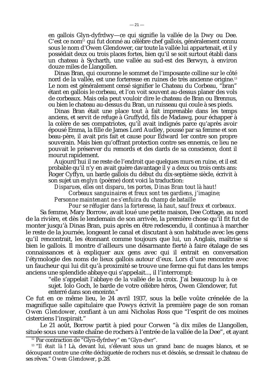en gallois Glyn-dyfrdwy—ce qui signifie la vallée de la Dwy ou Dee. C'est ce nom<sup>12</sup> qui fut donné au célèbre chef gallois, généralement connu sous le nom d'Owen Glendower, car toute la vallée lui appartenait, et il y possédait deux ou trois places fortes, bien qu'il se soit surtout établi dans un chateau à Sycharth, une vallée au sud-est des Berwyn, à environ douze miles de Llangollen.

Dinas Bran, qui couronne le sommet de l'imposante colline sur le côté nord de la vallée, est une forteresse en ruines de très ancienne origine.<sup>13</sup> Le nom est généralement censé signifier le Chateau du Corbeau, "bran" étant en gallois le corbeau, et l'on voit souvent au-dessus planer des vols de corbeaux. Mais cela peut vouloir dire le chateau de Bran ou Brennus, ou bien le chateau au-dessus du Bran, un ruisseau qui coule à ses pieds.

Dinas Bran était une place tout à fait imprenable dans les temps anciens, et servit de refuge à Gruffydd, fils de Madawg, pour échapper à la colère de ses compatriotes, qu'il avait indignés parce qu'après avoir épousé Emma, la fille de James Lord Audley, poussé par sa femme et son beau-père, il avait pris fait et cause pour Edward 1er contre son propre souverain. Mais bien qu'offrant protection contre ses ennemis, ce lieu ne pouvait le préserver du remords et des dards de sa conscience, dont il mourut rapidement.

Aujourd'hui il ne reste de l'endroit que quelques murs en ruine, et il est probable qu'il n'y en avait guère davantage il y a deux ou trois cents ans: Roger Cyffyn, un barde gallois du début du dix-septième siècle, écrivit à son sujet un *englyn* (poème) dont voici la traduction:

*Disparues, elles ont disparu, tes portes, Dinas Bran tout là haut! Corbeaux sanguinaires et freux sont tes gardiens, j'imagine; Personne maintenant ne s'enfuira du champ de bataille*

*Pour se réfugier dans la forteresse, là haut, sauf freux et corbeaux.*

Sa femme, Mary Borrow, avait loué une petite maison, Dee Cottage, au nord de la rivière, et dès le lendemain de son arrivée, la première chose qu'il fit fut de monter jusqu'à Dinas Bran, puis après en être redescendu, il continua à marcher le reste de la journée, longeant le canal et discutant à son habitude avec les gens qu'il rencontrait, les étonnant comme toujours que lui, un Anglais, maîtrise si bien le gallois. Il montre d'ailleurs une désarmante fierté à faire étalage de ses connaissances et à expliquer aux gens avec qui il entrait en conversation l'étymologie des noms de lieux gallois autour d'eux. Lors d'une rencontre avec un faucheur qui lui dit qu'à proximité se trouve une ferme qui fut dans les temps anciens une splendide abbaye qui s'appelait..., il l'interrompt:

> "elle s'appelait l'abbaye de la vallée de la croix. J'ai beaucoup lu à ce sujet. Iolo Goch, le barde de votre célèbre héros, Owen Glendower, fut enterré dans son enceinte."

Ce fut en ce même lieu, le 24 avril 1937, sous la belle voûte crénelée de la magnifique salle capitulaire que Powys écrivit la première page de son roman *Owen Glendower,* confiant à un ami Nicholas Ross que "l'esprit de ces moines cisterciens l'inspirait."

Le 21 août, Borrow partit à pied pour Corwen "à dix miles de Llangollen, située sous une vaste chaîne de rochers à l'entrée de la vallée de la Dee", et ayant

 $12$  Par contraction de "Glyn-dyfrdwy" en "Glyn-dwr".

<sup>13</sup> "*Il était là* ! Là, devant lui, s'élevant sous un grand banc de nuages blancs, et se découpant contre une crête déchiquetée de rochers nus et désolés, se dressait le chateau de ses rêves." *Owen Glendower*, p.28.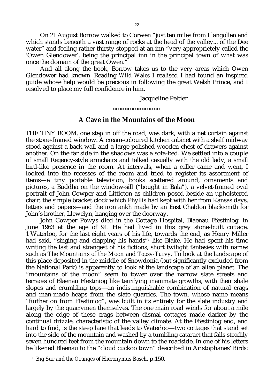On 21 August Borrow walked to Corwen "just ten miles from Llangollen and which stands beneath a vast range of rocks at the head of the valley... of the Dee water" and feeling rather thirsty stopped at an inn "very approprietely called the 'Owen Glendower', being the principal inn in the principal town of what was once the domain of the great Owen."

And all along the book, Borrow takes us to the very areas which Owen Glendower had known. Reading *Wild Wales* I realised I had found an inspired guide whose help would be precious in following the great Welsh Prince, and I resolved to place my full confidence in him.

Jacqueline Peltier

*°°°°°°°°°°°°°°°°°°°°*

## **A Cave in the Mountains of the Moon**

THE TINY ROOM, one step in off the road, was dark, with a net curtain against the stone-framed window. A cream-coloured kitchen cabinet with a shelf midway stood against a back wall and a large polished wooden chest of drawers against another. On the far side in the shadows was a sofa-bed. We settled into a couple of small Regency-style armchairs and talked casually with the old lady, a small bird-like presence in the room. At intervals, when a caller came and went, I looked into the recesses of the room and tried to register its assortment of items—a tiny portable television, books scattered around, ornaments and pictures, a Buddha on the window-sill ("bought in Bala"), a velvet-framed oval portrait of John Cowper and Littleton as children posed beside an upholstered chair, the simple bracket clock which Phyllis had kept with her from Kansas days, letters and papers—and the iron ankh made by an East Chaldon blacksmith for John's brother, Llewelyn, hanging over the doorway.

John Cowper Powys died in the Cottage Hospital, Blaenau Ffestiniog, in June 1963 at the age of 91. He had lived in this grey stone-built cottage, 1 Waterloo, for the last eight years of his life, towards the end, as Henry Miller had said, "singing and clapping his hands"<sup>1</sup> like Blake. He had spent his time writing the last and strangest of his fictions, short twilight fantasies with names such as *The Mountains of the Moon* and *Topsy-Turvy*. To look at the landscape of this place deposited in the middle of Snowdonia (but significantly excluded from the National Park) is apparently to look at the landscape of an alien planet. The "mountains of the moon" seem to tower over the narrow slate streets and terraces of Blaenau Ffestiniog like terrifying inanimate growths, with their shale slopes and crumbling tops—an indistinguishable combination of natural crags and man-made heaps from the slate quarries. The town, whose name means "further on from Ffestiniog", was built in its entirety for the slate industry and largely by the quarrymen themselves. The one main road winds for about a mile along the edge of these crags between dismal cottages made darker by the continual drizzle, characteristic of the valley climate. At the Ffestiniog end, and hard to find, is the steep lane that leads to Waterloo—two cottages that stand set into the side of the mountain and washed by a tumbling cataract that falls steadily seven hundred feet from the mountain down to the roadside. In one of his letters he likened Blaenau to the "cloud cuckoo town" described in Aristophanes' *Birds*:

<sup>1</sup> *Big Sur and the Oranges of Hieronymus Bosch*, p.150.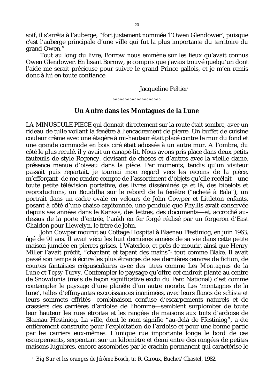soif, il s'arrêta à l'auberge, "fort justement nommée 'l'Owen Glendower', puisque c'est l'auberge principale d'une ville qui fut la plus importante du territoire du grand Owen."

Tout au long du livre, Borrow nous emmène sur les lieux qu'avait connus Owen Glendower. En lisant Borrow, je compris que j'avais trouvé quelqu'un dont l'aide me serait précieuse pour suivre le grand Prince gallois, et je m'en remis donc à lui en toute confiance.

Jacqueline Peltier

*°°°°°°°°°°°°°°°°°°°°*

## **Un Antre dans les Montagnes de la Lune**

LA MINUSCULE PIECE qui donnait directement sur la route était sombre, avec un rideau de tulle voilant la fenêtre à l'encadrement de pierre. Un buffet de cuisine couleur crème avec une étagère à mi-hauteur était placé contre le mur du fond et une grande commode en bois ciré était adossée à un autre mur. A l'ombre, du côté le plus reculé, il y avait un canapé-lit. Nous avons pris place dans deux petits fauteuils de style Regency, devisant de choses et d'autres avec la vieille dame, présence menue d'oiseau dans la pièce. Par moments, tandis qu'un visiteur passait puis repartait, je tournai mon regard vers les recoins de la pièce, m'efforçant de me rendre compte de l'assortiment d'objets qu'elle recélait—une toute petite télévision portative, des livres disséminés ça et là, des bibelots et reproductions, un Bouddha sur le rebord de la fenêtre ("acheté à Bala"), un portrait dans un cadre ovale en velours de John Cowper et Littleton enfants, posant à côté d'une chaise capitonnée, une pendule que Phyllis avait conservée depuis ses années dans le Kansas, des lettres, des documents—et, accroché audessus de la porte d'entrée, l'ankh en fer forgé réalisé par un forgeron d'East Chaldon pour Llewelyn, le frère de John.

John Cowper mourut au Cottage Hospital à Blaenau Ffestiniog, en juin 1963, âgé de 91 ans. Il avait vécu les huit dernières années de sa vie dans cette petite maison jumelée en pierres grises, 1 Waterloo, et près de mourir, ainsi que Henry Miller l'avait prédit, "chantant et tapant des mains"<sup>1</sup> tout comme Blake. Il avait passé son temps à écrire les plus étranges de ses dernières œuvres de fiction, de courtes fantaisies crépusculaires avec des titres comme *Les Montagnes de la Lune* et *Topsy-Turvy*. Contempler le paysage qu'offre cet endroit planté au centre de Snowdonia (mais de façon significative exclu du Parc National) c'est comme contempler le paysage d'une planète d'un autre monde. Les 'montagnes de la lune', telles d'effrayantes excroissances inanimées, avec leurs flancs de schiste et leurs sommets effrités—combinaison confuse d'escarpements naturels et de crassiers des carrières d'ardoise de l'homme—semblent surplomber de toute leur hauteur les rues étroites et les rangées de maisons aux toits d'ardoise de Blaenau Ffestiniog. La ville, dont le nom signifie "au-delà de Ffestiniog", a été entièrement construite pour l'exploitation de l'ardoise et pour une bonne partie par les carriers eux-mêmes. L'unique rue importante longe le bord de ces escarpements, serpentant sur un kilomètre et demi entre des rangées de petites maisons lugubres, encore assombries par le crachin permanent qui caractérise le

<sup>1</sup> *Big Sur et les oranges de Jérôme Bosch*, tr. R. Giroux, Buchet/Chastel, 1982.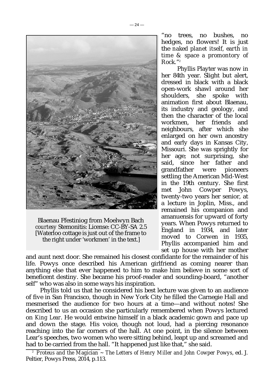

Blaenau Ffestiniog from Moelwyn Bach *courtesy* Stemonitis: License: CC-BY-SA 2.5 [Waterloo cottage is just out of the frame to the right under 'workmen' in the text.]

"no trees, no bushes, no hedges, no flowers! It is just the *naked planet itself, earth in time & space a promontory of Rock.*" 2

 Phyllis Playter was now in her 84th year. Slight but alert, dressed in black with a black open-work shawl around her shoulders, she spoke with animation first about Blaenau, its industry and geology, and then the character of the local workmen, her friends and neighbours, after which she enlarged on her own ancestry and early days in Kansas City, Missouri. She was sprightly for her age; not surprising, she said, since her father and grandfather were pioneers settling the American Mid-West in the 19th century. She first met John Cowper Powys, twenty-two years her senior, at a lecture in Joplin, Miss., and remained his companion and amanuensis for upward of forty years. When Powys returned to England in 1934, and later moved to Corwen in 1935, Phyllis accompanied him and set up house with her mother

and aunt next door. She remained his closest confidante for the remainder of his life. Powys once described his American girlfriend as coming nearer than anything else that ever happened to him to make him believe in some sort of beneficent destiny. She became his proof-reader and sounding-board, "another self" who was also in some ways his inspiration.

Phyllis told us that he considered his best lecture was given to an audience of five in San Francisco, though in New York City he filled the Carnegie Hall and mesmerised the audience for two hours at a time—and without notes! She described to us an occasion she particularly remembered when Powys lectured on *King Lear*. He would entwine himself in a black academic gown and pace up and down the stage. His voice, though not loud, had a piercing resonance reaching into the far corners of the hall. At one point, in the silence between Lear's speeches, two women who were sitting behind, leapt up and screamed and had to be carried from the hall. "It happened just like that," she said.

<sup>2</sup> Proteus and the Magician  $\sim$  The Letters of Henry Miller and John Cowper Powys, ed. J. Peltier, Powys Press, 2014, p.113.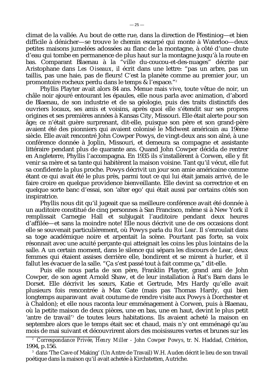climat de la vallée. Au bout de cette rue, dans la direction de Ffestiniog—et bien difficile à dénicher—se trouve le chemin escarpé qui monte à Waterloo—deux petites maisons jumelées adossées au flanc de la montagne, à côté d'une chute d'eau qui tombe en permanence de plus haut sur la montagne jusqu'à la route en bas. Comparant Blaenau à la "ville du-coucou-et-des-nuages" décrite par Aristophane dans *Les Oiseaux*, il écrit dans une lettre: "pas un arbre, pas un taillis, pas une haie, pas de fleurs! C'est la planète comme au premier jour, un promontoire rocheux perdu dans le temps & l'espace."<sup>2</sup>

Phyllis Playter avait alors 84 ans. Menue mais vive, toute vêtue de noir, un châle noir ajouré entourant les épaules, elle nous parla avec animation, d'abord de Blaenau, de son industrie et de sa géologie, puis des traits distinctifs des ouvriers locaux, ses amis et voisins, après quoi elle s'étendit sur ses propres origines et ses premières années à Kansas City, Missouri. Elle était alerte pour son âge; ce n'était guère surprenant, dit-elle, puisque son père et son grand-père avaient été des pionniers qui avaient colonisé le Midwest américain au 19ème siècle. Elle avait rencontré John Cowper Powys, de vingt-deux ans son aîné, à une conférence donnée à Joplin, Missouri, et demeura sa compagne et assistante littéraire pendant plus de quarante ans. Quand John Cowper décida de rentrer en Angleterre, Phyllis l'accompagna. En 1935 ils s'installèrent à Corwen, elle y fit venir sa mère et sa tante qui habitèrent la maison voisine. Tant qu'il vécut, elle fut sa confidente la plus proche. Powys décrivit un jour son amie américaine comme étant ce qui avait été le plus près, parmi tout ce qui lui était jamais arrivé, de le faire croire en quelque providence bienveillante. Elle devint sa correctrice et en quelque sorte banc d'essai, son 'alter ego' qui était aussi par certains côtés son inspiratrice.

Phyllis nous dit qu'il jugeait que sa meilleure conférence avait été donnée à un auditoire constitué de cinq personnes à San Francisco, même si à New York il remplissait Carnegie Hall et subjugait l'auditoire pendant deux heures d'affilée—et sans la moindre note! Elle nous décrivit une de ces occasions dont elle se souvenait particulièrement, où Powys parla du *Roi Lear*. Il s'enroulait dans sa toge académique noire et arpentait la scène. Pourtant pas forte, sa voix résonnait avec une acuité perçante qui atteignait les coins les plus lointains de la salle. A un certain moment, dans le silence qui sépara les discours de Lear, deux femmes qui étaient assises derrière elle, bondirent et se mirent à hurler, et il fallut les évacuer de la salle. "Ça s'est passé tout à fait comme ça," dit-elle.

Puis elle nous parla de son père, Franklin Playter, grand ami de John Cowper, de son agent Arnold Shaw, et de leur installation à Rat's Barn dans le Dorset. Elle décrivit les sœurs, Katie et Gertrude, Mrs Hardy qu'elle avait plusieurs fois rencontrée à Max Gate (mais pas Thomas Hardy, qui bien longtemps auparavant avait coutume de rendre visite aux Powys à Dorchester et à Chaldon); et elle nous raconta leur emménagement à Corwen, puis à Blaenau, où la petite maison de deux pièces, une en bas, une en haut, devint le plus petit 'antre de travail'<sup>3</sup> de toutes leurs habitations. Ils avaient acheté la maison en septembre alors que le temps était sec et chaud, mais n'y ont emménagé qu'au mois de mai suivant et découvrirent alors des moisissures vertes et brunes sur les

<sup>2</sup> *Correspondance Privée, Henry Miller - John Cowper Powys*, tr. N. Haddad, Critérion, 1994, p.156.

<sup>3</sup> dans 'The Cave of Making' (Un Antre de Travail) W.H. Auden décrit le lieu de son travail poétique dans la maison qu'il avait achetée à Kirchstetten, Autriche.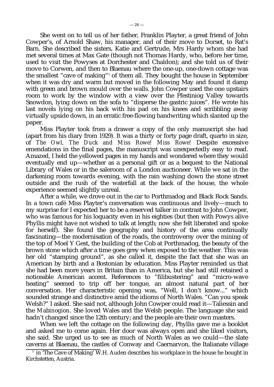She went on to tell us of her father, Franklin Playter, a great friend of John Cowper's, of Arnold Shaw, his manager, and of their move to Dorset, to Rat's Barn. She described the sisters, Katie and Gertrude, Mrs Hardy whom she had met several times at Max Gate (though not Thomas Hardy, who, before her time, used to visit the Powyses at Dorchester and Chaldon); and she told us of their move to Corwen, and then to Blaenau where the one-up, one-down cottage was the smallest "cave of making"<sup>3</sup> of them all. They bought the house in September when it was dry and warm but moved in the following May and found it damp with green and brown mould over the walls. John Cowper used the one upstairs room to work by the window with a view over the Ffestiniog Valley towards Snowdon, lying down on the sofa to "disperse the gastric juices". He wrote his last novels lying on his back with his pad on his knees and scribbling away virtually upside down, in an erratic free-flowing handwriting which slanted up the paper*.*

Miss Playter took from a drawer a copy of the only manuscript she had (apart from his diary from 1929). It was a thirty or forty page draft, quarto in size, of *The Owl, The Duck and Miss Rowe! Miss Rowe!* Despite excessive emendations in the final pages, the manuscript was unexpectedly easy to read. Amazed, I held the yellowed pages in my hands and wondered where they would eventually end up—whether as a personal gift or as a bequest to the National Library of Wales or in the saleroom of a London auctioneer. While we sat in the darkening room towards evening, with the rain washing down the stone street outside and the rush of the waterfall at the back of the house, the whole experience seemed slightly unreal.

After a while, we drove out in the car to Porthmadog and Black Rock Sands. In a town café Miss Playter's conversation was continuous and lively—much to my surprise for I expected her to be a reserved talker in contrast to John Cowper, who was famous for his loquacity even in his eighties (but then with Powys alive Phyllis might have not wished to talk at length; now she felt liberated and spoke for herself). She found the geography and history of the area continually fascinating—the modernisation of the roads, the controversy over the mining of the top of Moel Y Gest, the building of the Cob at Porthmadog, the beauty of the brown stone which after a time goes grey when exposed to the weather. This was her old "stamping ground", as she called it, despite the fact that she was an American by birth and a Bostonian by education. Miss Playter reminded us that she had been more years in Britain than in America, but she had still retained a noticeable American accent. References to "filibustering" and "micro-wave heating" seemed to trip off her tongue, an almost natural part of her conversation. Her characteristic opening was, "Well, I don't know..." which sounded strange and distinctive amid the idioms of North Wales. "Can you speak Welsh?" I asked. She said not, although John Cowper could read it—Taliessin and the *Mabinogion*. She loved Wales and the Welsh people. The language she said hadn't changed since the 12th century; and the people are their own masters.

When we left the cottage on the following day, Phyllis gave me a booklet and asked me to come again. Her door was always open and she liked visitors, she said. She urged us to see as much of North Wales as we could—the slate caverns at Blaenau, the castles of Conway and Caernarvon, the Italianate village

 $3$  in The Cave of Making' W.H. Auden describes his workplace in the house he bought in Kirchstetten, Austria.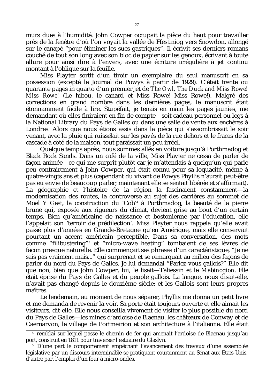murs dues à l'humidité. John Cowper occupait la pièce du haut pour travailler près de la fenêtre d'où l'on voyait la vallée de Ffestiniog vers Snowdon, allongé sur le canapé "pour éliminer les sucs gastriques". Il écrivit ses derniers romans couché de tout son long avec son bloc de papier sur les genoux, écrivant à toute allure pour ainsi dire à l'envers, avec une écriture irrégulière à jet continu montant à l'oblique sur la feuille.

Miss Playter sortit d'un tiroir un exemplaire du seul manuscrit en sa possession (excepté le Journal de Powys à partir de 1929). C'était trente ou quarante pages in quarto d'un premier jet de *The Owl, The Duck and Miss Rowe! Miss Rowe!* (Le hibou, le canard et Miss Rowe! Miss Rowe!). Malgré des corrections en grand nombre dans les dernières pages, le manuscrit était étonnamment facile à lire. Stupéfait, je tenais en main les pages jaunies, me demandant où elles finiraient en fin de compte—soit cadeau personnel ou legs à la National Library du Pays de Galles ou dans une salle de vente aux enchères à Londres. Alors que nous étions assis dans la pièce qui s'assombrissait le soir venant, avec la pluie qui ruisselait sur les pavés de la rue dehors et le fracas de la cascade à côté de la maison, tout paraissait un peu irréel.

Quelque temps après, nous sommes allés en voiture jusqu'à Porthmadog et Black Rock Sands. Dans un café de la ville, Miss Playter ne cessa de parler de façon animée—ce qui me surprit plutôt car je m'attendais à quelqu'un qui parle peu contrairement à John Cowper, qui était connu pour sa loquacité, même à quatre-vingts ans et plus (cependant du vivant de Powys Phyllis n'aurait peut-être pas eu envie de beaucoup parler; maintenant elle se sentait libérée et s'affirmait). La géographie et l'histoire de la région la fascinaient constamment—la modernisation des routes, la controverse au sujet des carrières au sommet de Moel Y Gest, la construction du 'Cob'<sup>4</sup> à Porthmadog, la beauté de la pierre brune qui, exposée aux rigueurs du climat, devient grise au bout d'un certain temps. Bien qu'américaine de naissance et bostonienne par l'éducation, elle l'appelait son 'terroir de prédilection'. Miss Playter nous rappela qu'elle avait passé plus d'années en Grande-Bretagne qu'en Amérique, mais elle conservait pourtant un accent américain perceptible. Dans sa conversation, des mots comme "filibustering"<sup>5</sup> et "micro-wave heating" tombaient de ses lèvres de façon presque naturelle. Elle commençait ses phrases d'un caractéristique, "Je ne sais pas vraiment mais..." qui surprenait et se remarquait au milieu des façons de parler du nord du Pays de Galles. Je lui demandai "Parlez-vous gallois?" Elle dit que non, bien que John Cowper, lui, le lisait—Taliessin et le *Mabinogion*. Elle était éprise du Pays de Galles et du peuple gallois. La langue, nous disait-elle, n'avait pas changé depuis le douzième siècle; et les Gallois sont leurs propres maîtres.

Le lendemain, au moment de nous séparer, Phyllis me donna un petit livre et me demanda de revenir la voir. Sa porte était toujours ouverte et elle aimait les visiteurs, dit-elle. Elle nous conseilla vivement de visiter le plus possible du nord du Pays de Galles—les mines d'ardoise de Blaenau, les châteaux de Conway et de Caernarvon, le village de Portmeirion et son architecture à l'italienne. Elle était

<sup>4</sup> remblai sur lequel passe le chemin de fer qui amenait l'ardoise de Blaenau jusqu'au port, construit en 1811 pour traverser l'estuaire du Glaslyn.

<sup>5</sup> D'une part le comportement empêchant l'avancement des travaux d'une assemblée législative par un discours interminable se pratiquant couramment au Sénat aux Etats-Unis, d'autre part l'emploi d'un four à micro-ondes.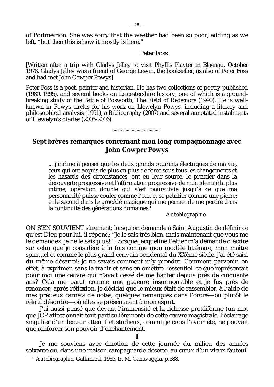of Portmeirion. She was sorry that the weather had been so poor, adding as we left, "but then this is how it mostly is here."

### Peter Foss

[Written after a trip with Gladys Jelley to visit Phyllis Playter in Blaenau, October 1978. Gladys Jelley was a friend of George Lewin, the bookseller, as also of Peter Foss and had met John Cowper Powys]

Peter Foss is a poet, painter and historian. He has two collections of poetry published (1980, 1995), and several books on Leicestershire history, one of which is a groundbreaking study of the Battle of Bosworth, *The Field of Redemore* (1990). He is wellknown in Powys circles for his work on Llewelyn Powys, including a literary and philosophical analysis (1991), a *Bibliography* (2007) and several annotated instalments of Llewelyn's diaries (2005-2016).

## **Sept brèves remarques concernant mon long compagnonnage avec John Cowper Powys**

*°°°°°°°°°°°°°°°°°°°°*

... j'incline à penser que les deux grands courants électriques de ma vie, ceux qui ont acquis de plus en plus de force sous tous les changements et les hasards des circonstances, ont eu leur source, le premier dans la découverte progressive et l'affirmation progressive de mon identité la plus intime, opération double qui s'est poursuivie jusqu'à ce que ma personnalité puisse couler comme l'eau et se pétrifier comme une pierre; et le second dans le procédé magique qui me permet de me perdre dans la continuité des générations humaines.<sup>1</sup>

### *Autobiographie*

ON S'EN SOUVIENT sûrement: lorsqu'on demande à Saint Augustin de définir ce qu'est Dieu pour lui, il répond: "Je le sais très bien, mais maintenant que vous me le demandez, je ne le sais plus!" Lorsque Jacqueline Peltier m'a demandé d'écrire sur celui que je considère à la fois comme mon modèle littéraire, mon maître spirituel et comme le plus grand écrivain occidental du XXème siècle, j'ai été saisi du même désarroi: je ne savais comment m'y prendre. Comment parvenir, en effet, à exprimer, sans la trahir et sans en omettre l'essentiel, ce que représentait pour moi une œuvre qui n'avait cessé de me hanter depuis près de cinquante ans? Cela me parut comme une gageure insurmontable et je fus près de renoncer; après réflexion, je décidai que le mieux était de rassembler, à l'aide de mes précieux carnets de notes, quelques remarques dans l'ordre—ou plutôt le relatif désordre—où elles se présentaient à mon esprit.

J'ai aussi pensé que devant l'immensité et la richesse protéiforme (un mot que JCP affectionnait tout particulièrement) de cette œuvre magistrale, l'éclairage singulier d'un lecteur attentif et studieux, comme je crois l'avoir été, ne pouvait que renforcer son pouvoir d'enchantement.

**I**

Je me souviens avec émotion de cette journée du milieu des années soixante où, dans une maison campagnarde déserte, au creux d'un vieux fauteuil

<sup>1</sup> *Autobiographie*, Gallimard, 1965, tr. M. Canavaggia, p.588.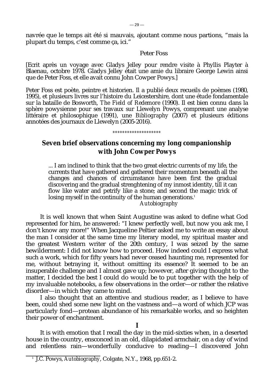navrée que le temps ait été si mauvais, ajoutant comme nous partions, "mais la plupart du temps, c'est comme ça, ici."

### Peter Foss

[Ecrit après un voyage avec Gladys Jelley pour rendre visite à Phyllis Playter à Blaenau, octobre 1978. Gladys Jelley était une amie du libraire George Lewin ainsi que de Peter Foss, et elle avait connu John Cowper Powys.]

Peter Foss est poète, peintre et historien. Il a publié deux recueils de poèmes (1980, 1995), et plusieurs livres sur l'histoire du Leicestershire, dont une étude fondamentale sur la bataille de Bosworth, *The Field of Redemore* (1990). Il est bien connu dans la sphère powysienne pour ses travaux sur Llewelyn Powys, comprenant une analyse littéraire et philosophique (1991), une *Bibliography* (2007) et plusieurs éditions annotées des journaux de Llewelyn (2005-2016).

## **Seven brief observations concerning my long companionship with John Cowper Powys**

*°°°°°°°°°°°°°°°°°°°°*

... I am inclined to think that the two great electric currents of my life, the currents that have gathered and gathered their momentum beneath all the changes and chances of circumstance have been first the gradual discovering and the gradual strenghtening of my inmost identity, till it can flow like water and petrify like a stone; and second the magic trick of losing myself in the continuity of the human generations.<sup>1</sup>

### *Autobiography*

It is well known that when Saint Augustine was asked to define what God represented for him, he answered: "I knew perfectly well, but now you ask me, I don't know any more!" When Jacqueline Peltier asked me to write an essay about the man I consider at the same time my literary model, my spiritual master and the greatest Western writer of the 20th century, I was seized by the same bewilderment: I did not know how to proceed. How indeed could I express what such a work, which for fifty years had never ceased haunting me, represented for me, without betraying it, without omitting its essence? It seemed to be an insuperable challenge and I almost gave up; however, after giving thought to the matter, I decided the best I could do would be to put together with the help of my invaluable notebooks, a few observations in the order—or rather the relative disorder—in which they came to mind.

I also thought that an attentive and studious reader, as I believe to have been, could shed some new light on the vastness and—a word of which JCP was particularly fond—protean abundance of his remarkable works, and so heighten their power of enchantment.

**I**

It is with emotion that I recall the day in the mid-sixties when, in a deserted house in the country, ensconced in an old, dilapidated armchair, on a day of wind and relentless rain—wonderfully conducive to reading—I discovered John

<sup>&</sup>lt;sup>1</sup> J.C. Powys, *Autobiography*, Colgate, N.Y., 1968, pp.651-2.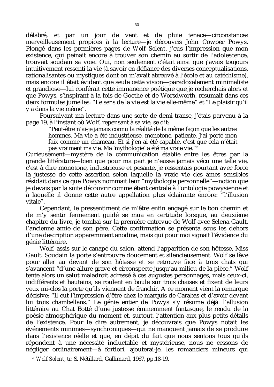délabré, et par un jour de vent et de pluie tenace—circonstances merveilleusement propices à la lecture—je découvris John Cowper Powys. Plongé dans les premières pages de *Wolf Solent,* j'eus l'impression que mon existence, qui peinait encore à trouver son chemin au sortir de l'adolescence, trouvait soudain sa voie. Oui, non seulement c'était ainsi que j'avais toujours intuitivement ressenti la vie (à savoir en défiance des diverses conceptualisations, rationalisantes ou mystiques dont on m'avait abreuvé à l'école et au catéchisme), mais encore il était évident que seule cette vision—paradoxalement minimaliste et grandiose—lui conférait cette immanence poétique que je recherchais alors et que Powys, s'inspirant à la fois de Goethe et de Worsdworth, résumait dans ces deux formules jumelles: "Le sens de la vie est la vie elle-même" et "Le plaisir qu'il y a dans la vie même".

Poursuivant ma lecture dans une sorte de demi-transe, j'étais parvenu à la page 19, à l'instant où Wolf, repensant à sa vie, se dit:

> "Peut-être n'ai-je jamais connu la réalité de la même façon que les autres hommes. Ma vie a été industrieuse, monotone, patiente. J'ai porté mon faix comme un chameau. Et si j'en ai été capable, c'est que cela n'était pas vraiment ma vie. Ma 'mythologie' a été ma vraie vie."<sup>2</sup>

Curieusement—mystère de la communication établie entre les êtres par la grande littérature—bien que pour ma part je n'eusse jamais vécu une telle vie, c'est à dire monotone, industrieuse et pesante, je ressentais pourtant avec force la justesse de cette assertion selon laquelle la vraie vie des âmes sensibles résidait dans ce que Powys nommait leur "mythologie personnelle"—notion que je devais par la suite découvrir comme étant centrale à l'ontologie powysienne et à laquelle il donne cette autre appellation plus éclairante encore: "l'illusion vitale".

Cependant, le pressentiment de m'être enfin engagé sur le bon chemin et de m'y sentir fermement guidé se mua en certitude lorsque, au deuxième chapitre du livre, je tombai sur la première entrevue de Wolf avec Selena Gault, l'ancienne amie de son père. Cette confirmation se présenta sous les dehors d'une description apparemment anodine, mais qui pour moi signait l'évidence du génie littéraire.

Wolf, assis sur le canapé du salon, attend l'apparition de son hôtesse, Miss Gault. Soudain la porte s'entrouvre doucement et silencieusement. Wolf se lève pour aller au devant de son hôtesse et se retrouve face à trois chats qui s'avancent "d'une allure grave et circonspecte jusqu'au milieu de la pièce." Wolf tente alors un salut maladroit adressé à ces augustes personnages, mais ceux-ci, indifférents et hautains, se roulent en boule sur trois chaises et fixent de leurs yeux mi-clos la porte qu'ils viennent de franchir. A ce moment vient la remarque décisive: "Il eut l'impression d'être chez le marquis de Carabas et d'avoir devant lui trois chambellans." Le génie entier de Powys s'y résume déjà: l'allusion littéraire au Chat Botté d'une justesse éminemment fantasque, le rendu de la poésie atmosphérique du moment et, surtout, l'attention aux plus petits détails de l'existence. Pour le dire autrement, je découvrais que Powys notait les événements minimes—synchroniques—qui ne manquent jamais de se produire dans l'existence réelle et que, en dépit du fait que nous sentons tous qu'ils répondent à une nécessité inéluctable et mystérieuse, nous ne cessons de négliger ordinairement—à fortiori, ajouterai-je, les romanciers mineurs qui

<sup>2</sup> *Wolf Solent*, tr. S. Nétillard, Gallimard, 1967, pp.18-19.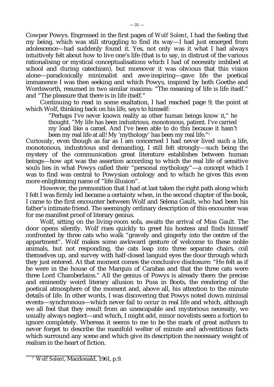Cowper Powys. Engrossed in the first pages of *Wolf Solent*, I had the feeling that my being, which was still struggling to find its way—I had just emerged from adolescence—had suddenly found it. Yes, not only was it what I had always intuitively felt about how to live one's life (that is to say, in distrust of the various rationalising or mystical conceptualisations which I had of necessity imbibed at school and during catechism), but moreover it was obvious that this vision alone—paradoxically minimalist and awe-inspiring—gave life the poetical immanence I was then seeking and which Powys, inspired by both Goethe and Wordsworth, resumed in two similar maxims: "The meaning of life is life itself." and "The pleasure that there is in life itself."

Continuing to read in some exaltation, I had reached page 9, the point at which Wolf, thinking back on his life, says to himself:

"Perhaps I've never known reality as other human beings know it," he thought. "My life has been industrious, monotonous, patient. I've carried my load like a camel. And I've been able to do this because it hasn't been my real life at all! My 'mythology' has been my real life."<sup>2</sup>

Curiously, even though as far as I am concerned I had never lived such a life, monotonous, industrious and demanding, I still felt strongly—such being the mystery of the communication great literature establishes between human beings—how apt was the assertion according to which the real life of sensitive souls lies in what Powys called their "personal mythology"—a concept which I was to find was central to Powysian ontology and to which he gives this even more enlightening name of "life illusion".

However, the premonition that I had at last taken the right path along which I felt I was firmly led became a certainty when, in the second chapter of the book, I came to the first encounter between Wolf and Selena Gault, who had been his father's intimate friend. The seemingly ordinary description of this encounter was for me manifest proof of literary genius.

Wolf, sitting on the living-room sofa, awaits the arrival of Miss Gault. The door opens silently. Wolf rises quickly to greet his hostess and finds himself confronted by three cats who walk "gravely and gingerly into the centre of the appartment". Wolf makes some awkward gesture of welcome to these noble animals, but not responding, the cats leap into three separate chairs, coil themselves up, and survey with half-closed languid eyes the door through which they just entered. At that moment comes the conclusive disclosure: "He felt as if he were in the house of the Marquis of Carabas and that the three cats were three Lord Chamberlains." All the genius of Powys is already there: the precise and eminently weird literary allusion to Puss in Boots, the rendering of the poetical atmosphere of the moment and, above all, his attention to the minute details of life. In other words, I was discovering that Powys noted down minimal events—synchronous—which never fail to occur in real life and which, although we all feel that they result from an unescapable and mysterious necessity, we usually always neglect—and which, I might add, minor novelists seem a fortiori to ignore completely. Whereas it seems to me to be the mark of great authors to never forget to describe the manifold welter of minute and adventitious facts which surround any scene and which give its description the necessary weight of realism in the heart of fiction.

<sup>2</sup> *Wolf Solent*, Macdonald, 1961, p.9.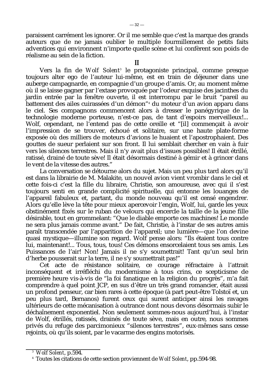paraissent carrément les ignorer. Or il me semble que c'est la marque des grands auteurs que de ne jamais oublier le multiple fourmillement de petits faits adventices qui environnent n'importe quelle scène et lui confèrent son poids de réalisme au sein de la fiction.

**II**

Vers la fin de *Wolf Solent*<sup>3</sup> le protagoniste principal, comme presque toujours alter ego de l'auteur lui-même, est en train de déjeuner dans une auberge campagnarde, en compagnie d'un groupe d'amis. Or, au moment même où il se laisse gagner par l'extase provoquée par l'odeur exquise des jacinthes du jardin entrée par la fenêtre ouverte, il est interrompu par le bruit "pareil au battement des ailes cuirassées d'un démon"<sup>4</sup> du moteur d'un avion apparu dans le ciel. Ses compagnons commencent alors à dresser le panégyrique de la technologie moderne porteuse, n'est-ce pas, de tant d'espoirs merveilleux!... Wolf, cependant, ne l'entend pas de cette oreille et "[il] commençait à avoir l'impression de se trouver, échoué et solitaire, sur une haute plate-forme exposée où des milliers de moteurs d'avions le huaient et l'apostrophaient. Des gouttes de sueur perlaient sur son front. Il lui semblait chercher en vain à fuir vers les silences terrestres. Mais il n'y avait plus d'issues possibles! Il était étrillé, ratissé, drainé de toute sève! Il était désormais destiné à gémir et à grincer dans le vent de la vitesse des autres."

La conversation se détourne alors du sujet. Mais un peu plus tard alors qu'il est dans la librairie de M. Malakite, un nouvel avion vient vrombir dans le ciel et cette fois-ci c'est la fille du libraire, Christie, son amoureuse, avec qui il s'est toujours senti en grande complicité spirituelle, qui entonne les louanges de l'appareil fabuleux et, partant, du monde nouveau qu'il est censé engendrer. Alors qu'elle lève la tête pour mieux apercevoir l'engin, Wolf, lui, garde les yeux obstinément fixés sur le ruban de velours qui encercle la taille de la jeune fille désirable, tout en grommelant: "Que le diable emporte ces machines! Le monde ne sera plus jamais comme avant." De fait, Christie, à l'instar de ses autres amis paraît transcendée par l'apparition de l'appareil; une lumière—que l'on devine quasi mystique—illumine son regard. Wolf pense alors: "Ils étaient tous contre lui, maintenant!... Tous, tous, tous! Ces démons ensorcelaient tous ses amis. Les Puissances de l'air! Non! Jamais il ne s'y soumettrait! Tant qu'un seul brin d'herbe pousserait sur la terre, il ne s'y soumettrait pas!"

Cet acte de résistance solitaire, ce courage réfractaire à l'attrait inconséquent et irréfléchi du modernisme à tous crins, ce scepticisme de première heure vis-à-vis de "la foi fanatique en la religion du progrès", m'a fait comprendre à quel point JCP, en sus d'être un très grand romancier, était aussi un profond penseur, car bien rares à cette époque (à part peut-être Tolstoï et, un peu plus tard, Bernanos) furent ceux qui surent anticiper ainsi les ravages ultérieurs de cette mécanisation à outrance dont nous devons désormais subir le déchaînement exponentiel. Non seulement sommes-nous aujourd'hui, à l'instar de Wolf, étrillés, ratissés, drainés de toute sève, mais en outre, nous sommes privés du refuge des parcimonieux "silences terrestres", eux-mêmes sans cesse rejoints, où qu'ils soient, par le vacarme des engins motorisés.

<sup>3</sup> *Wolf Solent*, p.594.

<sup>4</sup> Toutes les citations de cette section proviennent de *Wolf Solent*, pp.594-98.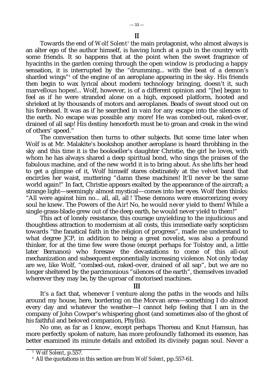Towards the end of Wolf Solent<sup>3</sup> the main protagonist, who almost always is an alter ego of the author himself, is having lunch at a pub in the country with some friends. It so happens that at the point when the sweet fragrance of hyacinths in the garden coming through the open window is producing a happy sensation, it is interrupted by the "drumming... with the beat of a demon's sharded wings"<sup>4</sup> of the engine of an aeroplane appearing in the sky. His friends then begin to wax lyrical about modern technology bringing, doesn't it, such marvellous hopes!... Wolf, however, is of a different opinion and "[he] began to feel as if he were stranded alone on a high, exposed platform, hooted and shrieked at by thousands of motors and aeroplanes. Beads of sweat stood out on his forehead. It was as if he searched in vain for any escape into the silences of the earth. No escape was possible any more! He was combed-out, raked-over, drained of all sap! His destiny henceforth must be to groan and creak in the wind of others' speed."

The conversation then turns to other subjects. But some time later when Wolf is at Mr. Malakite's bookshop another aeroplane is heard throbbing in the sky and this time it is the bookseller's daughter Christie, the girl he loves, with whom he has always shared a deep spiritual bond, who sings the praises of the fabulous machine, and of the new world it is to bring about. As she lifts her head to get a glimpse of it, Wolf himself stares obstinately at the velvet band that encircles her waist, muttering "damn these machines! It'll never be the same world again!" In fact, Christie appears exalted by the appearance of the aircraft; a strange light—seemingly almost mystical—comes into her eyes. Wolf then thinks: "All were against him no... all, all, all! These demons were ensorcerizing every soul he knew. The Powers of the Air! No, he would *never* yield to them! While a single grass-blade grew out of the deep earth, he would never yield to them!"

This act of lonely resistance, this courage unyielding to the injudicious and thoughtless attraction to modernism at all costs, this immediate early scepticism towards "the fanatical faith in the religion of progress", made me understand to what degree JCP, in addition to being a great novelist, was also a profound thinker, for at the time few were those (except perhaps for Tolstoy and, a little later Bernanos) who foresaw the devastations to come of this all-out mechanization and subsequent exponentially increasing violence. Not only today are we, like Wolf, "combed-out, raked-over, drained of all sap", but we are no longer sheltered by the parcimonious "silences of the earth", themselves invaded wherever they may be, by the uproar of motorised machines.

**III**

It's a fact that, whenever I venture along the paths in the woods and hills around my house, here, bordering on the Morvan area—something I do almost every day and whatever the weather—I cannot help feeling that I am in the company of John Cowper's whispering ghost (and sometimes also of the ghost of his faithful and beloved companion, Phyllis).

No one, as far as I know, except perhaps Thoreau and Knut Hamsun, has more perfectly spoken of nature, has more profoundly fathomed its essence, has better examined its minute details and extolled its divinely pagan soul. Never a

<sup>3</sup> *Wolf Solent*, p.557.

<sup>4</sup> All the quotations in this section are from *Wolf Solent*, pp.557-61.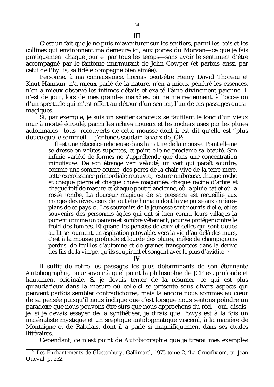C'est un fait que je ne puis m'aventurer sur les sentiers, parmi les bois et les collines qui environnent ma demeure ici, aux portes du Morvan—ce que je fais pratiquement chaque jour et par tous les temps—sans avoir le sentiment d'être accompagné par le fantôme murmurant de John Cowper (et parfois aussi par celui de Phyllis, sa fidèle compagne bien aimée).

Personne, à ma connaissance, hormis peut-être Henry David Thoreau et Knut Hamsun, n'a mieux parlé de la nature, n'en a mieux pénétré les essences, n'en a mieux observé les infimes détails et exalté l'âme divinement païenne. Il n'est de jour, lors de mes grandes marches, où ne me reviennent, à l'occasion d'un spectacle qui m'est offert au détour d'un sentier, l'un de ces passages quasimagiques.

Si, par exemple, je suis un sentier cahoteux se faufilant le long d'un vieux mur à moitié écroulé, parmi les arbres noueux et les rochers usés par les pluies automnales—tous recouverts de cette mousse dont il est dit qu'elle est "plus douce que le sommeil*"—*j'entends soudain la voix de JCP:

Il est une réticence religieuse dans la nature de la mousse. Point elle ne se dresse en voûtes superbes, et point elle ne proclame sa beauté. Son infinie variété de formes ne s'appréhende que dans une concentration minutieuse. De son étrange vert velouté, un vert qui paraît sourdre, comme une sombre écume, des pores de la chair vive de la terre-mère, cette excroissance primordiale recouvre, texture ombreuse, chaque roche et chaque pierre et chaque chose maçonnée, chaque racine d'arbre et chaque toit de masure et chaque poutre ancienne, où la pluie bat et où la rosée tombe. La douceur magique de sa présence est recueillie aux marges des rêves, ceux de tout être humain dont la vie puise aux arrièresplans de ce pays-ci. Les souvenirs de la jeunesse sont nourris d'elle, et les souvenirs des personnes âgées qui ont si bien connu leurs villages la portent comme un pauvre et sombre vêtement, pour se protéger contre le froid des tombes. Et quand les pensées de ceux et celles qui sont cloués au lit se tournent, en aspiration pitoyable, vers la vie d'au-delà des murs, c'est à la mousse profonde et lourde des pluies, mêlée de champignons perdus, de feuilles d'automne et de graines transportées dans la dérive des fils de la vierge, qu'ils soupirent et songent avec le plus d'avidité! <sup>5</sup>

**IV**

Il suffit de relire les passages les plus déterminants de son étonnante *Autobiographie*, pour savoir à quel point la philosophie de JCP est profonde et hautement originale. Si je devais tenter de la résumer—ce qui est plus qu'audacieux dans la mesure où celle-ci se présente sous divers aspects qui peuvent parfois sembler contradictoires, mais là encore nous sommes au cœur de sa pensée puisqu'il nous indique que c'est lorsque nous sentons poindre un paradoxe que nous pouvons être sûrs que nous approchons du réel—oui, disaisje, si je devais essayer de la synthétiser, je dirais que Powys est à la fois un matérialiste mystique et un sceptique antidogmatique viscéral, à la manière de Montaigne et de Rabelais, dont il a parlé si magnifiquement dans ses études littéraires.

Cependant, ce n'est point de *Autobiographie* que je tirerai mes exemples

<sup>5</sup> *Les Enchantements de Glastonbury*, Gallimard, 1975 tome 2, 'La Crucifixion', tr. Jean Queval, p. 252.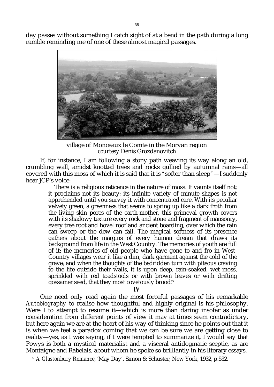day passes without something I catch sight of at a bend in the path during a long ramble reminding me of one of these almost magical passages.



village of Monceaux le Comte in the Morvan region *courtesy* Denis Grozdanovitch

If, for instance, I am following a stony path weaving its way along an old, crumbling wall, amidst knotted trees and rocks gullied by autumnal rains—all covered with this moss of which it is said that it is *"*softer than sleep*"*—I suddenly hear JCP's voice:

> There is a religious reticence in the nature of moss. It vaunts itself not; it proclaims not its beauty; its infinite variety of minute shapes is not apprehended until you survey it with concentrated care. With its peculiar velvety green, a greenness that seems to spring up like a dark froth from the living skin pores of the earth-mother, this primeval growth covers with its shadowy texture every rock and stone and fragment of mansonry, every tree root and hovel roof and ancient boarding, over which the rain can sweep or the dew can fall. The magical softness of its presence gathers about the margins of every human dream that draws its background from life in the West Country. The memories of youth are full of it; the memories of old people who have gone to and fro in West-Country villages wear it like a dim, dark garment against the cold of the grave; and when the thoughts of the bedridden turn with piteous craving to the life outside their walls, it is upon deep, rain-soaked, wet moss, sprinkled with red toadstools or with brown leaves or with drifting gossamer seed, that they most covetously brood!<sup>5</sup>

> > **IV**

One need only read again the most forceful passages of his remarkable *Autobiography* to realise how thoughtful and highly original is his philosophy. Were I to attempt to resume it—which is more than daring insofar as under consideration from different points of view it may at times seem contradictory, but here again we are at the heart of his way of thinking since he points out that it is when we feel a paradox coming that we can be sure we are getting close to reality—yes, as I was saying, if I were tempted to summarize it, I would say that Powys is both a mystical materialist and a visceral antidogmatic sceptic, as are Montaigne and Rabelais, about whom he spoke so brilliantly in his literary essays.

<sup>5</sup> *A Glastonbury Romance*, 'May Day', Simon & Schuster, New York, 1932, p.532.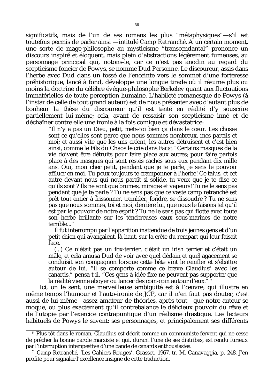significatifs, mais de l'un de ses romans les plus "métaphysiques"—s'il est toutefois permis de parler ainsi —intitulé *Camp Retranché*. A un certain moment, une sorte de mage-philosophe au mysticisme "transcendantal" prononce un discours inspiré et éloquent, mais plein d'abstractions légèrement fumeuses, au personnage principal qui, notons-le, car ce n'est pas anodin au regard du scepticisme foncier de Powys, se nomme Dud *Personne.* Le discoureur, assis dans l'herbe avec Dud dans un fossé de l'enceinte vers le sommet d'une forteresse préhistorique, lancé à fond, développe une longue tirade où il résume plus ou moins la doctrine du célèbre évêque-philosophe Berkeley quant aux fluctuations immatérielles de toute perception humaine. L'habileté romanesque de Powys (à l'instar de celle de tout grand auteur) est de nous présenter avec d'autant plus de bonheur la thèse du discoureur qu'il est tenté en réalité d'y souscrire partiellement lui-même; cela, avant de ressaisir son scepticisme inné et de déchaîner contre elle une ironie à la fois comique et dévastatrice:

> "Il n'y a pas un Dieu, petit, mets-toi bien *ça* dans le cœur. Les choses sont ce qu'elles sont parce que nous sommes nombreux, mes pareils et moi; et aussi vite que les uns créent, les autres détruisent et c'est bien ainsi, comme le Fils du Chaos le crie dans *Faust* ! Certains masques de la vie doivent être détruits pour faire place aux autres; pour faire parfois place à des masques qui sont restés cachés sous eux pendant dix mille ans. Oui, mon cher petit, pendant que je te parle, je sens le pouvoir affluer en moi. Tu peux toujours te cramponner à l'herbe! Ce talus, et cet autre devant nous qui nous paraît si solide, tu veux que je te dise ce qu'ils sont ? Ils ne sont que brumes, mirages et vapeurs! Tu ne le sens pas pendant que je te parle ? Tu ne sens pas que ce vaste camp retranché est prêt tout entier à frissonner, trembler, fondre, se dissoudre ? Tu ne sens pas que nous sommes, toi et moi, derrière lui, que nous le faisons tel qu'il est par le pouvoir de notre esprit ? Tu ne le sens pas qui flotte avec toute son herbe brillante sur les ténébreuses eaux sous-marines de notre terrible..."

> Il fut interrompu par l'apparition inattendue de trois jeunes gens et d'un petit chien qui avançaient, là-haut, sur la crête du rempart qui leur faisait face.

> (...) Ce n'était pas un fox-terrier, c'était un irish terrier et c'était un mâle, et cela amusa Dud de voir avec quel dédain et quel agacement se conduisit son compagnon lorsque cette bête vint le renifler et s'ébattre autour de lui. "Il se comporte comme ce brave Claudius<sup>6</sup> avec les canards," pensa-t-il. "Ces gens à idée fixe ne peuvent pas supporter que la réalité vienne aboyer ou lancer des coin-coin autour d'eux*."* <sup>7</sup>

Ici, on le sent, une merveilleuse ambigüité est à l'œuvre, qui illustre en même temps l'humour et l'auto-ironie de JCP, car il n'en faut pas douter, c'est aussi de lui-même—assez amateur de théories, après tout—que notre auteur se moque, ou plus exactement qu'il contrebalance le délicieux pouvoir du rêve et de l'utopie par l'exercice contrapuntique d'un réalisme drastique. Les lecteurs habituels de Powys le savent: ses personnages, et principalement ses différents

<sup>6</sup> Plus tôt dans le roman, Claudius est décrit comme un communiste fervent qui ne cesse de prêcher la bonne parole marxiste et qui, durant l'une de ses diatribes, est rendu furieux par l'interruption intempestive d'une bande de canards enthousiastes.

<sup>7</sup> *Camp Retranché*, 'Les Cahiers Rouges', Grasset, 1967, tr. M. Canavaggia, p. 248. J'en profite pour signaler l'excellence insigne de cette traduction.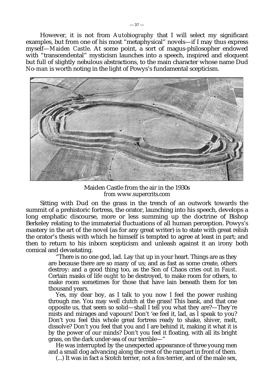However, it is not from *Autobiography* that I will select my significant examples, but from one of his most "metaphysical" novels—if I may thus express myself—*Maiden Castle*. At some point, a sort of magus-philosopher endowed with "transcendental" mysticism launches into a speech, inspired and eloquent but full of slightly nebulous abstractions, to the main character whose name Dud *No-man* is worth noting in the light of Powys's fundamental scepticism.



Maiden Castle from the air in the 1930s *from* www.supercrits.com

Sitting with Dud on the grass in the trench of an outwork towards the summit of a prehistoric fortress, the orator, launching into his speech, develops a long emphatic discourse, more or less summing up the doctrine of Bishop Berkeley relating to the immaterial fluctuations of all human perception. Powys's mastery in the art of the novel (as for any great writer) is to state with great relish the orator's thesis with which he himself is tempted to agree at least in part; and then to return to his inborn scepticism and unleash against it an irony both comical and devastating.

> "There is no one god, lad. Lay *that* up in your heart. Things are as they are because there are so many of us; and as fast as some create, others destroy: and a good thing too, as the Son of Chaos cries out in *Faust*. Certain masks of life *ought* to be destroyed, to make room for others, to make room sometimes for those that have lain beneath them for ten thousand years.

> Yes, my dear boy, as I talk to you now I feel the power rushing through me. You may well clutch at the grass! This bank, and that one opposite us, that seem so solid—shall I tell you what they are?—They're mists and mirages and vapours! Don't 'ee feel it, lad, as I speak to you? Don't you feel this whole great fortress ready to shake, shiver, melt, dissolve? Don't you feel that you and I are behind it, making it what it is by the power of our minds? Don't you feel it floating, with all its bright grass, on the dark under-sea of our terrible—"

> He was interrupted by the unexpected appearance of three young men and a small dog advancing along the crest of the rampart in front of them.

(...) It was in fact a Scotch terrier, not a fox-terrier, and of the male sex,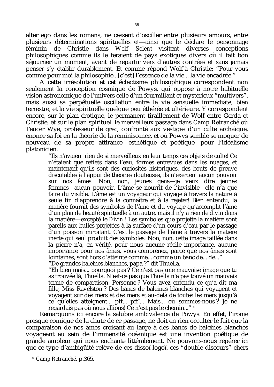alter ego dans les romans, ne cessent d'osciller entre plusieurs amours, entre plusieurs déterminations spirituelles et—ainsi que le déclare le personnage féminin de Christie dans *Wolf Solent*—visitent diverses conceptions philosophiques comme ils le feraient de pays exotiques divers où il fait bon séjourner un moment, avant de repartir vers d'autres contrées et sans jamais penser s'y établir durablement. Et comme répond Wolf à Christie: "Pour vous comme pour moi la philosophie...[c'est] l'essence de la vie... la vie encadrée."

A cette irrésolution et cet éclectisme philosophique correspondent non seulement la conception cosmique de Powys, qui oppose à notre habituelle vision astronomique de l'univers celle d'un fourmillant et mystérieux "multivers", mais aussi sa perpétuelle oscillation entre la vie sensuelle immédiate, bien terrestre, et la vie spirituelle quelque peu éthérée et ultérieure. Y correspondent encore, sur le plan érotique, le permanent tiraillement de Wolf entre Gerda et Christie, et sur le plan spirituel, le merveilleux passage dans *Camp Retranché* où Teucer Wye, professeur de grec, confronté aux vestiges d'un culte archaïque, énonce sa foi en la théorie de la réminiscence, et où Powys semble se moquer de nouveau de sa propre attirance—esthétique et poétique—pour l'idéalisme platonicien.

"Ils n'avaient rien de si merveilleux en leur temps ces objets de culte! Ce n'étaient que reflets dans l'eau, formes entrevues dans les nuages, et maintenant qu'ils sont des curiosités historiques, des bouts de preuve discutables à l'appui de théories douteuses, ils n'exercent aucun pouvoir sur nos âmes. Non, non, jeunes gens—je veux dire jeunes femmes—aucun pouvoir. L'âme se nourrit de l'invisible—elle n'a que faire du visible. L'âme est un voyageur qui voyage à travers la nature à seule fin d'apprendre à la connaître et à la rejeter! Bien entendu, la matière fournit des symboles de l'âme et du voyage qu'accomplit l'âme d'un plan de beauté spirituelle à un autre, mais il n'y a rien de divin dans la matière—excepté le *Divin* ! Les symboles que projette la matière sont pareils aux bulles projetées à la surface d'un cours d'eau par le passage d'un poisson miroitant. C'est le passage de l'âme à travers la matière inerte qui seul produit des symboles. Non, non, cette image taillée dans la pierre n'a, en vérité, pour nous aucune réelle importance, aucune importance pour nos âmes, vous comprenez, parce que nos âmes sont lointaines, sont hors d'atteinte comme... comme un banc de... de..." "De grandes baleines blanches, papa ?" dit Thuella.

"Eh bien mais... pourquoi pas ? Ce n'est pas une mauvaise image que tu as trouvée là, Thuella. N'est-ce pas que Thuella n'a pas touvé un mauvais terme de comparaison, Personne ? Vous avez entendu ce qu'a dit ma fille, Miss Ravelston ? Des bancs de baleines blanches qui voyagent et voyagent sur des mers et des mers et au-delà de toutes les mers jusqu'à ce qu'elles atteignent... pff... pff!... Mais... où sommes-nous ? Je ne regardais pas où nous allions! Ce n'est pas le chemin..." <sup>8</sup>

Remarquons ici encore la salubre ambivalence de Powys. En effet, l'ironie presque comique de la chute de ce passage, ne doit en rien occulter le fait que la comparaison de nos âmes croisant au large à des bancs de baleines blanches voyageant au sein de l'immensité océanique est une invention poétique de grande ampleur qui nous enchante littéralement. Ne pouvons-nous repérer ici que ce type d'ambigüité relève de ces dissoï-logoï, ces "double discours" chers

<sup>8</sup> *Camp Retranché*, p.365.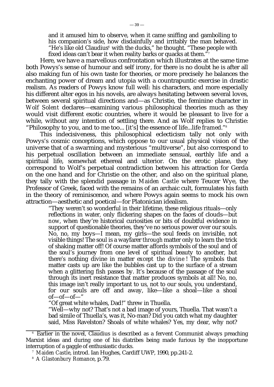and it amused him to observe, when it came sniffing and gambolling to his companion's side, how disdainfully and irritably the man behaved. "He's like old Claudius<sup>®</sup> with the ducks," he thought. "These people with fixed ideas can't bear it when reality barks or quacks at them.<sup> $\frac{1}{7}$ </sup>

Here, we have a marvellous confrontation which illustrates at the same time both Powys's sense of humour and self irony, for there is no doubt he is after all also making fun of his own taste for theories, or more precisely he balances the enchanting power of dream and utopia with a countrapuntic exercise in drastic realism. As readers of Powys know full well: his characters, and more especially his different alter egos in his novels, are always hesitating between several loves, between several spiritual directions and—as Christie, the feminine character in *Wolf Solent* declares—examining various philosophical theories much as they would visit different exotic countries, where it would be pleasant to live for a while, without any intention of settling there. And as Wolf replies to Christie: "Philosophy to you, and to me too... [it's] the essence of life...life *framed*."<sup>8</sup>

This indecisiveness, this philosophical eclecticism tally not only with Powys's cosmic conceptions, which oppose to our usual physical vision of the universe that of a swarming and mysterious "multiverse", but also correspond to his perpetual oscillation between an immediate sensual, earthly life and a spiritual life, somewhat ethereal and ulterior. On the erotic plane, they correspond to Wolf's perpetual contradiction between his attraction for Gerda on the one hand and for Christie on the other, and also on the spiritual plane, they tally with the splendid passage in *Maiden Castle* where Teucer Wye, the Professor of Greek, faced with the remains of an archaic cult, formulates his faith in the theory of reminiscence, and where Powys again seems to mock his own attraction—aesthetic and poetical—for Platonician idealism.

"They weren't so wonderful in their lifetime, these religious rituals—only reflections in water, only flickering shapes on the faces of clouds—but *now*, when they're historical curiosities or bits of doubtful evidence in support of questionable theories, they've no serious power over our souls. No, no, my boys—I mean, my girls—the soul feeds on invisible, not visible things! The soul is a wayfarer *through* matter only to learn the trick of shaking matter off! Of course matter affords symbols of the soul and of the soul's journey from one level of spiritual beauty to another, but there's nothing divine in matter *except the divine* ! The symbols that matter casts up are like the bubbles cast up to the surface of a stream when a glittering fish passes by. It's because of the passage of the soul through its inert resistance that matter produces symbols at all! No, no, this image isn't really important to us, not to our souls, you understand, for our souls are off and away, like—like a shoal—like a shoal of—of—of—"

"Of great white whales, Dad!" threw in Thuella.

"Well—why not? That's not a bad image of yours, Thuella. That wasn't a bad simile of Thuella's, was it, No-man? Did you catch what my daughter said, Miss Ravelston? Shoals of white whales? Yes, my dear, why not?

<sup>&</sup>lt;sup>6</sup> Earlier in the novel, Claudius is described as a fervent Communist always preaching Marxist ideas and during one of his diatribes being made furious by the inopportune interruption of a gaggle of enthusiastic ducks.

<sup>7</sup> *Maiden Castle*, introd. Ian Hughes, Cardiff UWP, 1990, pp.241-2.

<sup>8</sup> *A Glastonbury Romance*, p.79.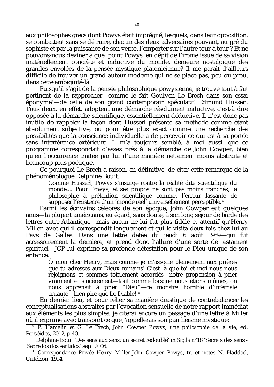aux philosophes grecs dont Powys était imprégné, lesquels, dans leur opposition, se combattent sans se détruire, chacun des deux adversaires pouvant, au gré du sophiste et par la puissance de son verbe, l'emporter sur l'autre tour à tour ? Et ne pouvons-nous deviner à quel point Powys, en dépit de l'ironie issue de sa vision matériellement concrète et inductive du monde, demeure nostalgique des grandes envolées de la pensée mystique platonicienne? Il me paraît d'ailleurs difficile de trouver un grand auteur moderne qui ne se place pas, peu ou prou, dans cette ambigüité-là.

Puisqu'il s'agit de la pensée philosophique powysienne, je trouve tout à fait pertinent de la rapprocher—comme le fait Goulven Le Brech dans son essai éponyme9—de celle de son grand contemporain spéculatif: Edmund Husserl. Tous deux, en effet, adoptent une démarche résolument inductive, c'est-à dire opposée à la démarche scientifique, essentiellement déductive. Il n'est donc pas inutile de rappeler la façon dont Husserl présente sa méthode comme étant absolument subjective, ou pour être plus exact comme une recherche des possibilités que la conscience individuelle a de percevoir ce qui est à sa portée sans interférence extérieure. Il m'a toujours semblé, à moi aussi, que ce programme correspondait d'assez près à la démarche de John Cowper, bien qu'en l'occurrence traitée par lui d'une manière nettement moins abstraite et beaucoup plus poétique.

Ce pourquoi Le Brech a raison, en définitive, de citer cette remarque de la phénoménologue Delphine Bouit:

Comme Husserl, Powys s'insurge contre la réalité dite scientifique du monde.... Pour Powys, et ses propos ne sont pas moins tranchés, la philosophie à prétention scientifique commet l'erreur lassante de supposer l'existence d'un 'monde réel' universellement perceptible.<sup>10</sup>

Parmi les écrivains célèbres de son époque, John Cowper eut quelques amis—la plupart américains, eu égard, sans doute, à son long séjour de barde des lettres outre-Atlantique—mais aucun ne lui fut plus fidèle et attentif qu'Henry Miller, avec qui il correspondit longuement et qui le visita deux fois chez lui au Pays de Galles. Dans une lettre datée du jeudi 6 août 1959—qui fut accessoirement la dernière, et prend donc l'allure d'une sorte de testament spirituel—JCP lui exprime sa profonde détestation pour le Dieu unique de son enfance:

Ô mon cher Henry, mais comme je m'associe pleinement aux prières que tu adresses aux Dieux romains! C'est là que toi et moi nous nous rejoignons et sommes totalement accordés—notre propension à prier vraiment et sincèrement—tout comme lorsque nous étions mômes, on nous apprenait à prier "Dieu"—ce monstre horrible d'infernale cruauté—bien pire que Le Diable! <sup>11</sup>

En dernier lieu, et pour relier sa manière drastique de contrebalancer les conceptualisations abstraites par l'évocation sensuelle de notre rapport immédiat aux éléments les plus simples, je citerai encore un passage d'une lettre à Miller où il exprime avec transport ce que j'appellerais son panthéisme mystique:

<sup>9</sup> P. Hamelin et G. Le Brech, *John Cowper Powys, une philosophie de la vie*, éd. Perséides, 2012, p.40.

<sup>10</sup> Delphine Bouit 'Des sens aux sens: un secret redoublé' in *Sigila* n°18 'Secrets des sens - Segredos dos sentidos' sept 2006.

<sup>11</sup> *Correspondance Privée Henry Miller-John Cowper Powys*, tr. et notes N. Haddad, Critérion, 1994.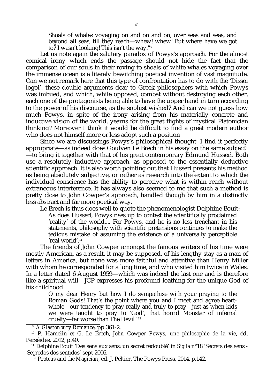Shoals of whales voyaging on and on and on, over seas and seas, and bevond all seas, till they reach—whew! whew! But where have we got to? I wasn't looking! *This* isn't the way."<sup>9</sup>

Let us note again the salutary paradox of Powys's approach. For the almost comical irony which ends the passage should not hide the fact that the comparison of our souls in their roving to shoals of white whales voyaging over the immense ocean is a literaly bewitching poetical invention of vast magnitude. Can we not remark here that this type of confrontation has to do with the 'Dissoi logoi', these double arguments dear to Greek philosophers with which Powys was imbued, and which, while opposed, combat without destroying each other, each one of the protagonists being able to have the upper hand in turn according to the power of his discourse, as the sophist wished? And can we not guess how much Powys, in spite of the irony arising from his materially concrete and inductive vision of the world, yearns for the great flights of mystical Platonician thinking? Moreover I think it would be difficult to find a great modern author who does not himself more or less adopt such a position

Since we are discussings Powys's philosophical thought, I find it perfectly appropriate—as indeed does Goulven Le Brech in his essay on the same subject<sup>10</sup> —to bring it together with that of his great contemporary Edmund Husserl. Both use a resolutely inductive approach, as opposed to the essentially deductive scientific approach. It is also worth pointing out that Husserl presents his method as being absolutely subjective, or rather as research into the extent to which the individual conscience has the ability to perceive what is within reach without extraneous interference. It has always also seemed to me that such a method is pretty close to John Cowper's approach, handled though by him in a distinctly less abstract and far more poetical way.

Le Brech is thus does well to quote the phenomenologist Delphine Bouit: As does Husserl, Powys rises up to contest the scientifically proclaimed 'reality' of the world.... For Powys, and he is no less trenchant in his statements, philosophy with scientific pretensions continues to make the tedious mistake of assuming the existence of a universally perceptible 'real world'.<sup>11</sup>

The friends of John Cowper amongst the famous writers of his time were mostly American, as a result, it may be supposed, of his lengthy stay as a man of letters in America, but none was more faithful and attentive than Henry Miller with whom he corresponded for a long time, and who visited him twice in Wales. In a letter dated 6 August 1959—which was indeed the last one and is therefore like a spiritual will—JCP expresses his profound loathing for the unique God of his childhood:

O my dear Henry but how I do sympathise with your praying to the Roman Gods! *That's* the point where you and I meet and agree heartwhole—our tendency to pray really and truly to pray—just as when kids we were taught to pray to 'God', that horrid Monster of infernal cruelty—far worse than The Devil ! 12

<sup>10</sup> P. Hamelin et G. Le Brech, *John Cowper Powys, une philosophie de la vie*, éd. Perséides, 2012, p.40.

<sup>11</sup> Delphine Bouit 'Des sens aux sens: un secret redoublé' in *Sigila* n°18 'Secrets des sens - Segredos dos sentidos' sept 2006.

<sup>12</sup> *Proteus and the Magician*, ed. J. Peltier, The Powys Press, 2014, p.142.

<sup>9</sup> *A Glastonbury Romance*, pp.361-2.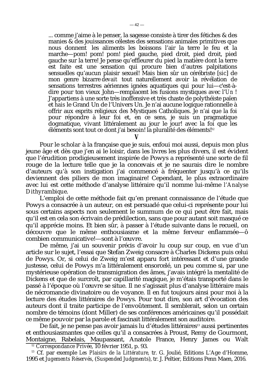... comme j'aime à le penser, la sagesse consiste à tirer des fétiches & des manies & des jouissances célestes des sensations animales primitives que nous donnent les aliments les boissons l'air la terre le feu et la marche—pom! pom! pom! pied gauche, pied droit, pied droit, pied gauche sur la terre! Je pense qu'effleurer du pied la matière dont la terre est faite est une sensation qui procure bien d'autres palpitations sensuelles qu'aucun plaisir sexuel! Mais bien sûr un cérébriste [*sic*] de mon genre bizarre *devait* tout naturellement avoir la révélation de sensations terrestres aériennes ignées aquatiques qui pour lui—c'est-àdire pour ton vieux John—remplacent les fusions mystiques avec l'*Un* ! J'appartiens à une sorte très inoffensive et très chaste de polythéiste païen et *hais* le Grand Un de l'Univers Un. Je n'ai aucune logique rationnelle à offrir aux esprits religieux des Mystiques Catholiques. Je n'ai que la foi pour répondre à leur foi et, en ce sens, je suis un pragmatique dogmatique, vivant littéralement au jour le jour! avec la foi que les éléments sont tout ce dont j'ai besoin! la pluralité des éléments!<sup>12</sup>

**V**

Pour le *scholar* à la française que je suis, enfoui moi aussi, depuis mon plus jeune âge et dès que j'en ai le loisir, dans les livres les plus divers, il est évident que l'érudition prodigieusement inspirée de Powys a représenté une sorte de fil rouge de la lecture telle que je la concevais et je ne saurais dire le nombre d'auteurs qu'à son instigation j'ai commencé à fréquenter jusqu'à ce qu'ils deviennent des piliers de mon imaginaire! Cependant, le plus extraordinaire avec lui est cette méthode d'analyse littéraire qu'il nomme lui-même *l'Analyse Dithyrambique*.

L'emploi de cette méthode fait qu'en prenant connaissance de l'étude que Powys a consacrée à un auteur, on est persuadé que celui-ci représente pour lui sous certains aspects non seulement le summum de ce qui peut être fait, mais qu'il est en cela son écrivain de prédilection, sans que pour autant soit masqué ce qu'il apprécie moins. Et bien sûr, à passer à l'étude suivante dans le recueil, on découvre que le même enthousiasme et la même ferveur enflammée—ô combien communicative!—sont à l'œuvre.

De même, j'ai un souvenir précis d'avoir lu coup sur coup, en vue d'un article sur le sujet, l'essai que Stefan Zweig consacre à Charles Dickens puis celui de Powys. Or, si celui de Zweig m'est apparu fort intéressant et d'une grande justesse, celui de Powys m'a littéralement ensorcelé, un peu comme si, par une mystérieuse opération de transmigration des âmes, j'avais intégré la mentalité de Dickens et que de surcroît, par capillarité magique, je m'étais transporté dans le passé à l'époque où l'œuvre se situe. Il ne s'agissait plus d'analyse littéraire mais de nécromancie divinatoire ou de voyance. Il en fut toujours ainsi pour moi à la lecture des études littéraires de Powys. Pour tout dire, son art d'évocation des auteurs dont il traite participe de l'envoûtement. Il semblerait, selon un certain nombre de témoins (dont Miller) de ses conférences américaines qu'il possédait ce même pouvoir par la parole et fascinait littéralement son auditoire.

De fait, je ne pense pas avoir jamais lu d'études littéraires<sup>13</sup> aussi pertinentes et enthousiasmantes que celles qu'il a consacrées à Proust, Remy de Gourmont, Montaigne, Rabelais, Maupassant, Anatole France, Henry James ou Walt

<sup>12</sup> *Correspondance Privée*, 10 février 1951, p. 93.

<sup>13</sup> Cf. par exemple *Les Plaisirs de la Littérature,* tr. G. Joulié, Editions L'Age d'Homme, 1995 et *Jugements Réservés*, (*Suspended Judgments*), tr. J. Peltier, Editions Penn Maen, 2016.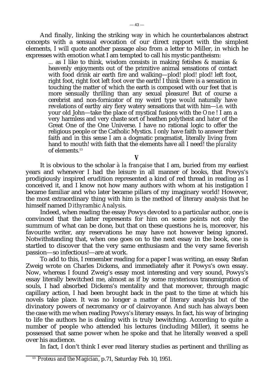And finally, linking the striking way in which he counterbalances abstract concepts with a sensual evocation of our direct rapport with the simplest elements, I will quote another passage also from a letter to Miller, in which he expresses with emotion what I am tempted to call his mystic pantheism:

... as I like to think, wisdom consists in making fetishes & manias & heavenly enjoyments out of the primitive animal sensations of contact with food drink air earth fire and walking—plod! plod! plod! left foot, right foot, right foot left foot over the earth! I think there is a sensation in touching the matter of which the earth is composed with our feet that is more sensually thrilling than any sexual pleasure! But of course a cerebrist and non-fornicator of my weird type *would* naturally have revelations of earthy airy fiery watery sensations that with him—i.e. with your old John—take the place of mystical fusions with the *One* ! I am a very harmless and very chaste sort of heathen polytheist and *hater* of the Great One of the One Universe. I have no rational logic to offer the religious people or the Catholic Mystics. I only have faith to answer their faith and in this sense I am a dogmatic pragmatist, literally living from hand to mouth! with faith that the elements have all I need! the *plurality* of elements.<sup>13</sup>

**V**

It is obvious to the scholar *à la française* that I am, buried from my earliest years and whenever I had the leisure in all manner of books, that Powys's prodigiously inspired erudition represented a kind of red thread in reading as I conceived it, and I know not how many authors with whom at his instigation I became familiar and who later became pillars of my imaginary world! However, the most extraordinary thing with him is the method of literary analysis that he himself named *Dithyrambic Analysis*.

Indeed, when reading the essay Powys devoted to a particular author, one is convinced that the latter represents for him on some points not only the summum of what can be done, but that on these questions he is, moreover, his favourite writer, any reservations he may have not however being ignored. Notwithstanding that, when one goes on to the next essay in the book, one is startled to discover that the very same enthusiasm and the very same feverish passion—so infectious!—are at work.

To add to this, I remember reading for a paper I was writing, an essay Stefan Zweig wrote on Charles Dickens, and immediately after it Powys's own essay. Now, whereas I found Zweig's essay most interesting and very sound, Powys's essay literally bewitched me, almost as if by some mysterious transmigration of souls, I had absorbed Dickens's mentality and that moreover, through magic capillary action, I had been brought back in the past to the time at which his novels take place. It was no longer a matter of literary analysis but of the divinatory powers of necromancy or of clairvoyance. And such has always been the case with me when reading Powys's literary essays. In fact, his way of bringing to life the authors he is dealing with is truly bewitching. According to quite a number of people who attended his lectures (including Miller), it seems he possessed that same power when he spoke and that he literally weaved a spell over his audience.

In fact, I don't think I ever read literary studies as pertinent and thrilling as

<sup>13</sup> *Proteus and the Magician*, p.71, Saturday Feb. 10, 1951.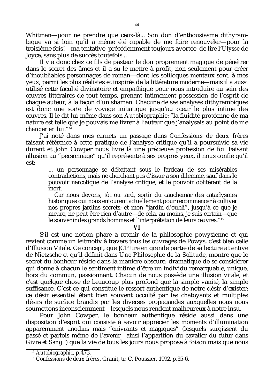Whitman—pour ne prendre que ceux-là... Son don d'enthousiasme dithyrambique va si loin qu'il a même été capable de me faire renouveler—pour la troisième fois!—ma tentative, précédemment toujours avortée, de lire l'*Ulysse* de Joyce, sans plus de succès toutefois...

Il y a donc chez ce fils de pasteur le don proprement magique de pénétrer dans le secret des âmes et il a su le mettre à profit, non seulement pour créer d'inoubliables personnages de roman—dont les soliloques mentaux sont, à mes yeux, parmi les plus réalistes et inspirés de la littérature moderne—mais il a aussi utilisé cette faculté divinatoire et empathique pour nous introduire au sein des œuvres littéraires de tout temps, prenant intimement possession de l'esprit de chaque auteur, à la façon d'un shaman. Chacune de ses analyses dithyrambiques est donc une sorte de voyage initiatique jusqu'au cœur le plus intime des œuvres. Il le dit lui-même dans son *Autobiographie*: "la fluidité protéenne de ma nature est telle que je pouvais me livrer à l'auteur que j'analysais au point de *me changer en lui*."<sup>14</sup>

J'ai noté dans mes carnets un passage dans *Confessions de deux frères* faisant référence à cette pratique de l'analyse critique qu'il a poursuivie sa vie durant et John Cowper nous livre là une précieuse profession de foi. Faisant allusion au "personnage" qu'il représente à ses propres yeux, il nous confie qu'il est:

... un personnage se débattant sous le fardeau de ses misérables contradictions, mais ne cherchant pas d'issue à son dilemme, sauf dans le pouvoir narcotique de l'analyse critique, et le pouvoir oblitérant de la mort.

Car nous devons, tôt ou tard, sortir du cauchemar des cataclysmes historiques qui nous entourent actuellement pour recommencer à cultiver nos propres jardins secrets; et mon "jardin d'oubli", jusqu'à ce que je meure, ne peut être rien d'autre—de cela, au moins, je suis certain—que le souvenir des grands hommes et l'interprétation de leurs œuvres."<sup>15</sup>

### **VI**

S'il est une notion phare à retenir de la philosophie powysienne et qui revient comme un leitmotiv à travers tous les ouvrages de Powys, c'est bien celle d'Illusion Vitale. Ce concept, que JCP tire en grande partie de sa lecture attentive de Nietzsche et qu'il définit dans *Une Philosophie de la Solitude*, montre que le secret du bonheur réside dans la manière obscure, dramatique de se considérer qui donne à chacun le sentiment intime d'être un individu remarquable, unique, hors du commun, passionnant. Chacun de nous possède une illusion vitale; et c'est quelque chose de beaucoup plus profond que la simple vanité, la simple suffisance. C'est ce qui constitue le ressort authentique de notre désir d'exister; ce désir *essentiel* étant bien souvent occulté par les chatoyants et multiples désirs de surface brandis par les diverses propagandes auxquelles nous nous soumettons inconsciemment—lesquels nous rendent malheureux à notre insu.

Pour John Cowper, le bonheur authentique réside aussi dans une disposition d'esprit qui consiste à savoir apprécier les moments d'illumination apparemment anodins mais "enivrants et magiques" (lesquels surgissent du passé et parfois même de l'avenir—ainsi l'apparition du cavalier du futur dans *Givre et Sang* !) que la vie de tous les jours nous propose à foison mais que nous

<sup>14</sup> *Autobiographie*, p.473.

<sup>15</sup> *Confessions de deux frères*, Granit, tr. C. Poussier, 1992, p.35-6.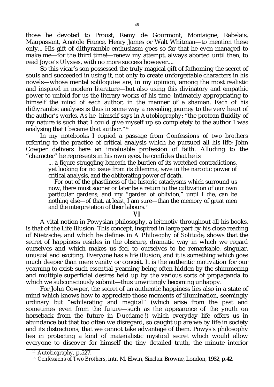those he devoted to Proust, Remy de Gourmont, Montaigne, Rabelais, Maupassant, Anatole France, Henry James or Walt Whitman—to mention these only... His gift of dithyrambic enthusiasm goes so far that he even managed to make me—for the third time!—renew my attempt, always aborted until then, to read Joyce's *Ulysses*, with no more success however....

So this vicar's son possessed the truly magical gift of fathoming the secret of souls and succeeded in using it, not only to create unforgettable characters in his novels—whose mental soliloquies are, in my opinion, among the most realistic and inspired in modern literature—but also using this divinatory and empathic power to unfold for us the literary works of his time, intimately appropriating to himself the mind of each author, in the manner of a shaman. Each of his dithyrambic analyses is thus in some way a revealing journey to the very heart of the author's works. As he himself says in *Autobiography*: "the protean fluidity of my nature is such that I could give myself up so completely to the author I was analysing that I *became that author*."<sup>14</sup>

In my notebooks I copied a passage from *Confessions of two brothers* referring to the practice of critical analysis which he pursued all his life; John Cowper delivers here an invaluable profession of faith. Alluding to the "character" he represents in his own eyes, he confides that he is

... a figure struggling beneath the burden of its wretched contradictions, yet looking for no issue from its dilemma, save in the narcotic power of critical analysis, and the obliterating power of death.

For out of the ghastliness of the historic cataclysms which surround us now, there must sooner or later be a return to the cultivation of our own particular gardens; and my "garden of oblivion," until I die, can be nothing else—of that, at least, I am sure—than the memory of great men and the interpretation of their labours.<sup>15</sup>

### **VI**

A vital notion in Powysian philosophy, a leitmotiv throughout all his books, is that of the Life Illusion. This concept, inspired in large part by his close reading of Nietzsche, and which he defines in *A Philosophy of Solitude*, shows that the secret of happiness resides in the obscure, dramatic way in which we regard ourselves and which makes us feel to ourselves to be remarkable, singular, unusual and exciting. Everyone has a life illusion; and it is something which goes much deeper than mere vanity or conceit. It is the authentic motivation for our yearning to exist; such *essential* yearning being often hidden by the shimmering and multiple superficial desires held up by the various sorts of propaganda to which we subconsciously submit—thus unwittingly becoming unhappy.

For John Cowper, the secret of an authentic happiness lies also in a state of mind which knows how to appreciate those moments of illumination, seemingly ordinary but "exhilarating and magical" (which arise from the past and sometimes even from the future—such as the appearance of the youth on horseback from the future in *Ducdame* !) which everyday life offers us in abundance but that too often we disregard, so caught up are we by life in society and its distractions, that we cannot take advantage of them. Powys's philosophy lies in protecting a kind of materialistic mystical secret which would allow everyone to discover for himself the tiny detailed truth, the minute interior

<sup>14</sup> *Autobiography*, p.527.

<sup>15</sup> *Confessions of Two Brothers*, intr. M. Elwin, Sinclair Browne, London, 1982, p.42.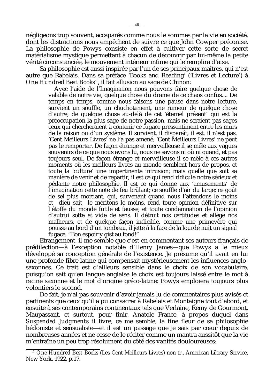négligeons trop souvent, accaparés comme nous le sommes par la vie en société, dont les distractions nous empêchent de suivre ce que John Cowper préconise. La philosophie de Powys consiste en effet à cultiver cette sorte de secret matérialisme mystique permettant à chacun de découvrir par lui-même la petite vérité circonstanciée, le mouvement intérieur infime qui le remplira d'aise.

Sa philosophie est aussi inspirée par l'un de ses principaux maîtres, qui n'est autre que Rabelais. Dans sa préface 'Books and Reading' ('Livres et Lecture') à *One Hundred Best Books*16, il fait allusion au sage de Chinon:

Avec l'aide de l'Imagination nous pouvons faire quelque chose de valable de notre vie, quelque chose du drame de ce chaos confus.... De temps en temps, comme nous faisons une pause dans notre lecture, survient un souffle, un chuchotement, une rumeur de quelque chose d'autre; de quelque chose au-delà de cet 'éternel présent' qui est la préoccupation la plus sage de notre passion, mais ne seraient pas sages ceux qui chercheraient à contenir ce fugace pressentiment entre les murs de la raison ou d'un système. Il survient, il disparaît; il est, il n'est pas. 'Cent Meilleurs Livres' ne l'a pas amené; 'Cent Meilleurs Livres' ne peut pas le remporter. De façon étrange et merveilleuse il se mêle aux vagues souvenirs de ce que nous avons lu, nous ne savons ni où ni quand, et pas toujours seul. De façon étrange et merveilleuse il se mêle à ces autres moments où les meilleurs livres au monde semblent hors de propos, et toute la 'culture' une impertinente intrusion; mais quelle que soit sa manière de venir et de repartir, il est ce qui rend ridicule notre sérieux et pédante notre philosophie. Il est ce qui donne aux 'amusements' de l'imagination cette note de feu brûlant; ce souffle d'air du large; ce goût de sel plus mordant, qui, survenant quand nous l'attendons le moins et—dieu sait—le méritons le moins, rend toute opinion définitive sur l'étoffe du monde futile et fausse; et toute condamnation de l'opinion d'autrui sotte et vide de sens. Il détruit nos certitudes et allège nos malheurs, et de quelque façon indicible, comme une primevère qui pousse au bord d'un tombeau, il jette à la face de la lourde nuit un signal fugace, "Bon espoir y gist au fond!"

Etrangement, il me semble que c'est en commentant ses auteurs français de prédilection—à l'exception notable d'Henry James—que Powys a le mieux développé sa conception générale de l'existence. Je présume qu'il avait en lui une profonde fibre latine qui compensait mystérieusement les influences anglosaxonnes. Ce trait est d'ailleurs sensible dans le choix de son vocabulaire, puisqu'on sait qu'en langue anglaise le choix est toujours laissé entre le mot à racine saxonne et le mot d'origine gréco-latine: Powys emploiera toujours plus volontiers le second.

De fait, je n'ai pas souvenir d'avoir jamais lu de commentaires plus avisés et pertinents que ceux qu'il a pu consacrer à Rabelais et Montaigne tout d'abord, et ensuite à ses contemporains continentaux tels que Verlaine, Remy de Gourmont, Maupassant, et surtout, pour finir, Anatole France, à propos duquel dans *Suspended Judgments* il livre, ce me semble, la fine fleur de sa philosophie hédoniste et sensualiste—et il est un passage que je sais par cœur depuis de nombreuses années et ne cesse de le réciter comme un mantra aussitôt que la vie m'entraîne un peu trop résolument du côté des vanités douloureuses:

<sup>&</sup>lt;sup>16</sup> *One Hundred Best Books* (Les Cent Meilleurs Livres) non tr., American Library Service, New York, 1922, p.17.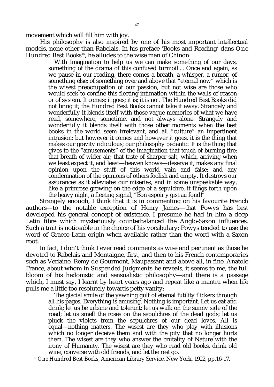movement which will fill him with joy.

His philosophy is also inspired by one of his most important intellectual models, none other than Rabelais. In his preface 'Books and Reading' dans *One Hundred Best Books*<sup>16</sup>, he alludes to the wise man of Chinon:

With Imagination to help us we can make something of our days, something of the drama of this confused turmoil.... Once and again, as we pause in our reading, there comes a breath, a whisper, a rumor, of something else; of something over and above that "eternal now" which is the wisest preoccupation of our passion, but not wise are those who would seek to confine this fleeting intimation within the walls of reason or of system. It comes; it goes; it is; it is not. The Hundred Best Books did not bring it; the Hundred Best Books cannot take it away. Strangely and wonderfully it blends itself with those vague memories of what we have read, somewhere, sometime, and not always alone. Strangely and wonderfully it blends itself with those other moments when the best books in the world seem irrelevant, and all "culture" an impertinent intrusion; but however it comes and however it goes, it is the thing that makes our gravity ridiculous; our philosophy pedantic. It is the thing that gives to the "amusements" of the imagination that touch of burning fire; that breath of wider air; that taste of sharper salt, which, arriving when we least expect it, and least—heaven knows—deserve it, makes any final opinion upon the stuff of this world vain and false; and any condemnation of the opinions of others foolish and empty. It destroys our assurances as it alleviates our miseries, and in some unspeakable way, like a primrose growing on the edge of a sepulchre, it flings forth upon the heavy night, a fleeting signal, "Bon espoir y gist au fond!"

Strangely enough, I think that it is in commenting on his favourite French authors—to the notable exception of Henry James—that Powys has best developed his general concept of existence. I presume he had in him a deep Latin fibre which mysteriously counterbalanced the Anglo-Saxon influences. Such a trait is noticeable in the choice of his vocabulary: Powys tended to use the word of Graeco-Latin origin when available rather than the word with a Saxon root.

In fact, I don't think I ever read comments as wise and pertinent as those he devoted to Rabelais and Montaigne, first, and then to his French contemporaries such as Verlaine, Remy de Gourmont, Maupassant and above all, in fine, Anatole France, about whom in *Suspended Judgments* he reveals, it seems to me, the full bloom of his hedonistic and sensualistic philosophy—and there is a passage which, I must say, I learnt by heart years ago and repeat like a mantra when life pulls me a little too resolutely towards petty vanity:

The glacial smile of the yawning gulf of eternal futility flickers through all his pages. Everything is amusing. Nothing is important. Let us eat and drink; let us be urbane and tolerant; let us walk on the sunny side of the road; let us smell the roses on the sepulchres of the dead gods; let us pluck the violets from the sepulchres of our dead loves. All is equal—nothing matters. The wisest are they who play with illusions which no longer deceive them and with the pity that no longer hurts them. The wisest are they who answer the brutality of Nature with the irony of Humanity. The wisest are they who read old books, drink old wine, converse with old friends, and let the rest go.

<sup>16</sup> *One Hundred Best Books*, American Library Service, New York, 1922, pp.16-17.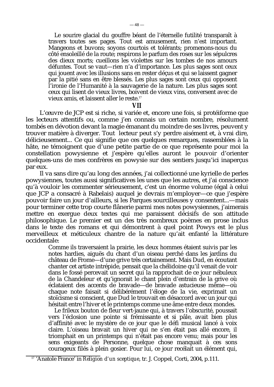Le sourire glacial du gouffre béant de l'éternelle futilité transparaît à travers toutes ses pages. Tout est amusement, rien n'est important. Mangeons et buvons; soyons courtois et tolérants; promenons-nous du côté ensoleillé de la route; respirons le parfum des roses sur les sépulcres des dieux morts; cueillons les violettes sur les tombes de nos amours défuntes. Tout se vaut—rien n'a d'importance. Les plus sages sont ceux qui jouent avec les illusions sans en rester déçus et qui se laissent gagner par la pitié sans en être blessés. Les plus sages sont ceux qui opposent l'ironie de l'Humanité à la sauvagerie de la nature. Les plus sages sont ceux qui lisent de vieux livres, boivent de vieux vins, conversent avec de vieux amis, et laissent aller le reste.<sup>17</sup>

### **VII**

L'œuvre de JCP est si riche, si variée et, encore une fois, si protéiforme que les lecteurs attentifs ou, comme j'en connais un certain nombre, résolument tombés en dévotion devant la magie émanant du moindre de ses livres, peuvent y trouver matière à diverger. Tout lecteur peut s'y perdre aisément et, à vrai dire, délicieusement... Ce qui signifie que ces quelques remarques, rassemblées à la hâte, ne témoignent que d'une petite partie de ce que représente pour moi la constellation powysienne et j'espère qu'elles auront le pouvoir d'orienter quelques-uns de mes confrères en powysie sur des sentiers jusqu'ici inaperçus par eux.

Il va sans dire qu'au long des années, j'ai collectionné une kyrielle de perles powysiennes, toutes aussi significatives les unes que les autres, et j'ai conscience qu'à vouloir les commenter sérieusement, c'est un énorme volume (égal à celui que JCP a consacré à Rabelais) auquel je devrais m'employer—ce que j'espère pouvoir faire un jour d'ailleurs, si les Parques sourcilleuses y consentent...—mais pour terminer cette trop courte flânerie parmi mes notes powysiennes, j'aimerais mettre en exergue deux textes qui me paraissent décisifs de son attitude philosophique. Le premier est un des très nombreux poèmes en prose inclus dans le texte des romans et qui démontrent à quel point Powys est le plus merveilleux et méticuleux chantre de la nature qu'ait enfanté la littérature occidentale:

> Comme ils traversaient la prairie, les deux hommes étaient suivis par les notes hardies, aiguës du chant d'un oiseau perché dans les jardins du château de Frome—d'une grive très certainement. Mais Dud, en écoutant chanter cet artiste intrépide, pensait que la chélidoine qu'il venait de voir dans le fossé percevait un secret qui la rapprochait de ce jour nébuleux de la Chandeleur et qu'ignorait le chant plein d'entrain de la grive où éclataient des accents de bravade—de bravade astucieuse même—où chaque note faisait si délibérément l'éloge de la vie, exprimait un stoïcisme si conscient, que Dud le trouvait en désaccord avec un jour qui hésitait entre l'hiver et le printemps comme une âme entre deux mondes.

> Le frileux bouton de fleur vert-jaune qui, à travers l'obscurité, poussait vers l'éclosion une pointe si frémissante et si pâle, avait bien plus d'affinité avec le mystère de ce jour que le défi musical lancé à voix claire. L'oiseau bravait un hiver qui ne s'en était pas allé encore, il triomphait en un printemps qui n'était pas encore venu; mais pour les sens exigeants de Personne, quelque chose manquait à ces sons courageux filés à plein gosier. Pour lui, ce jour recélait un élément qui,

<sup>&</sup>lt;sup>17</sup> 'Anatole France' in *Religion d'un sceptique*, tr. J. Coppel, Corti, 2004, p.111.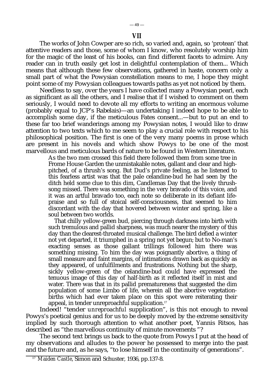The works of John Cowper are so rich, so varied and, again, so 'protean' that attentive readers and those, some of whom I know, who resolutely worship him for the magic of the least of his books, can find different facets to admire. Any reader can in truth easily get lost in delightful contemplation of them... Which means that although these few observations, gathered in haste, concern only a small part of what the Powysian constellation means to me, I hope they might point some of my Powysian colleagues towards paths as yet not noticed by them.

Needless to say, over the years I have collected many a Powysian pearl, each as significant as all the others, and I realise that if I wished to comment on them seriously, I would need to devote all my efforts to writing an enormous volume (probably equal to JCP's Rabelais)—an undertaking I indeed hope to be able to accomplish some day, if the meticulous Fates consent...—but to put an end to these far too brief wanderings among my Powysian notes, I would like to draw attention to two texts which to me seem to play a crucial role with respect to his philosophical position. The first is one of the very many poems in prose which are present in his novels and which show Powys to be one of the most marvellous and meticulous bards of nature to be found in Western literature.

As the two men crossed this field there followed them from some tree in Frome House Garden the unmistakable notes, gallant and clear and highpitched, of a thrush's song. But Dud's private feeling, as he listened to this fearless artist was that the pale celandine-bud he had seen by the ditch held some clue to this dim, Candlemas Day that the lively thrushsong missed. There was something in the very bravado of this voice, and it was an artful bravado too, each note so deliberate in its defiant lifepraise and so full of stoical self-consciousness, that seemed to him discordant with the day that hovered between winter and spring, like a soul between two worlds.

That chilly yellow-green bud, piercing through darkness into birth with such tremulous and pallid sharpness, was much nearer the mystery of this day than the clearest-throated musical challenge. The bird defied a winter not yet departed, it triumphed in a spring not yet begun; but to No-man's exacting senses as those gallant trillings followed him there was something missing. To him the day was poignantly abortive, a thing of small measure and faint margins, of intimations drawn back as quickly as they appeared, of unfulfilments and frustrations. Nothing but the sharp, sickly yellow-green of the celandine-bud could have expressed the tenuous image of this day of half-birth as it reflected itself in mist and water. There was that in its pallid prematureness that suggested the dim population of some Limbo of life, wherein all the abortive vegetationbirths which had ever taken place on this spot were reiterating their appeal, in tender unreproachful supplication.<sup>17</sup>

Indeed! "tender *unreproachful* supplication", is this not enough to reveal Powys's poetical genius and for us to be deeply moved by the extreme sensitivity implied by such thorough attention to what another poet, Yannis Ritsos, has described as "the marvellous continuity of minute movements "?

The second text brings us back to the quote from Powys I put at the head of my observations and alludes to the power he possessed to merge into the past and the future and, as he says, "to lose himself in the continuity of generations".

<sup>&</sup>lt;sup>17</sup> *Maiden Castle*, Simon and Schuster, 1936, pp.137-8.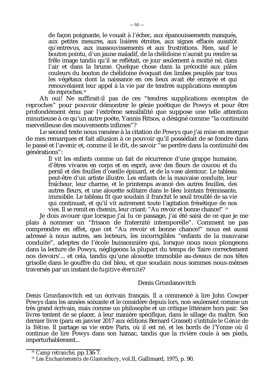de façon poignante, le vouait à l'échec, aux épanouissements manqués, aux petites mesures, aux lisières étroites, aux signes effacés aussitôt qu'entrevus, aux inassouvissements et aux frustrations. Rien, sauf le bouton pointu, d'un jaune maladif, de la chélidoine n'aurait pu rendre sa frêle image tandis qu'il se reflétait, ce jour seulement à moitié né, dans l'air et dans la brume. Quelque chose dans la précocité aux pâles couleurs du bouton de chélidoine évoquait des limbes peuplés par tous les végétaux dont la naissance en ces lieux avait été enrayée et qui renouvelaient leur appel à la vie par de tendres supplications exemptes de reproches.<sup>18</sup>

Ah oui! Ne suffirait-il pas de ces "tendres supplications *exemptes de reproches*" pour pouvoir démontrer le génie poétique de Powys et pour être profondément ému par l'extrême sensibilité que suppose une telle attention minutieuse à ce qu'un autre poète, Yannis Ritsos, a désigné comme "la continuité merveilleuse des mouvements infimes"?

Le second texte nous ramène à la citation de Powys que j'ai mise en exergue de mes remarques et fait allusion à ce pouvoir qu'il possédait de se fondre dans le passé et l'avenir et, comme il le dit, de savoir "se perdre dans la continuité des générations":

Il vit les enfants comme un fait de récurrence d'une grappe humaine, d'êtres vivaces en corps et en esprit, avec des fleurs de coucou et du persil et des feuilles d'oseille épinard, et de la vase alentour. Le tableau peut-être d'un artiste illustre. Les enfants de la mauvaise conduite, leur fraîcheur, leur charme, et le printemps avancé des autres feuilles, des autres fleurs, et une alouette solitaire dans le bleu lointain frémissante, immobile. Le tableau fit que soudain il franchit le seuil troublé de sa vie qui continuait, et qu'il vit autrement toute l'agitation frénétique de nos vies. Il se remit en chemin, leur criant: "Au revoir et bonne chance!*"* 19

Je dois avouer que lorsque j'ai lu ce passage, j'ai été saisi de ce que je me plais à nommer un "frisson de fraternité intemporelle". Comment ne pas comprendre en effet, que cet "Au revoir et bonne chance!" nous est aussi adressé à nous autres, ses lecteurs, les incorrigibles "enfants de la mauvaise conduite", adeptes de l'école buissonnière qui, lorsque nous nous plongeons dans la lecture de Powys, négligeons la plupart du temps de 'faire correctement nos devoirs'... et cela, tandis qu'une alouette immobile au-dessus de nos têtes grisolle dans le gouffre du ciel bleu, et que soudain nous sommes nous-mêmes traversés par un instant de *fugitive éternité*?

### Denis Grozdanovitch

Denis Grozdanovitch est un écrivain français. Il a commencé à lire John Cowper Powys dans les années soixante et le considère depuis lors, non seulement comme un très grand écrivain, mais comme un philosophe et un critique littéraire hors pair. Ses livres tentent de se placer, à leur manière spécifique, dans le sillage du maître. Son dernier livre (paru en janvier 2017 aux éditions Bernard Grasset) s'intitule le *Génie de la Bêtise*. Il partage sa vie entre Paris, où il est né, et les bords de l'Yonne où il continue de lire Powys dans son hamac, tandis que la rivière coule à ses pieds, imperturbablement...

<sup>18</sup> *Camp retranché*, pp.136-7.

<sup>19</sup> *Les Enchantements de Glastonbury*, vol.II, Gallimard, 1975, p. 90.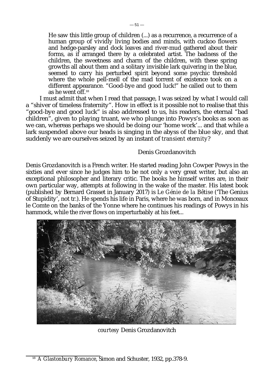He saw this little group of children (...) as a recurrence, a recurrence of a human group of vividly living bodies and minds, with cuckoo flowers and hedge-parsley and dock leaves and river-mud gathered about their forms, as if arranged there by a celebrated artist. The badness of the children, the sweetness and charm of the children, with these spring growths all about them and a solitary invisible lark quivering in the blue, seemed to carry his perturbed spirit beyond some psychic threshold where the whole pell-mell of the mad torrent of existence took on a different appearance. "Good-bye and good luck!" he called out to them as he went off.<sup>18</sup>

I must admit that when I read that passage, I was seized by what I would call a "shiver of timeless fraternity". How in effect is it possible not to realise that this "good-bye and good luck" is also addressed to us, his readers, the eternal "bad children", given to playing truant, we who plunge into Powys's books as soon as we can, whereas perhaps we should be doing our 'home work'... and that while a lark suspended above our heads is singing in the abyss of the blue sky, and that suddenly we are ourselves seized by an instant of *transient eternity*?

## Denis Grozdanovitch

Denis Grozdanovitch is a French writer. He started reading John Cowper Powys in the sixties and ever since he judges him to be not only a very great writer, but also an exceptional philosopher and literary critic. The books he himself writes are, in their own particular way, attempts at following in the wake of the master. His latest book (published by Bernard Grasset in January 2017) is *Le Génie de la Bêtise* ('The Genius of Stupidity', not tr.). He spends his life in Paris, where he was born, and in Monceaux le Comte on the banks of the Yonne where he continues his readings of Powys in his hammock, while the river flows on imperturbably at his feet...



*courtesy* Denis Grozdanovitch

<sup>18</sup> *A Glastonbury Romance*, Simon and Schuster, 1932, pp.378-9.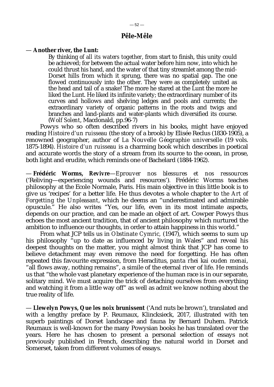### **Pêle-Mêle**

#### — **Another river, the Lunt:**

By thinking *of all its waters together*, from start to finish, this unity could be achieved; for between the actual water before him now, into which he could thrust his hand, and the water of that tiny streamlet among the mid-Dorset hills from which it sprung, there was no spatial gap. The one flowed continuously into the other. They were as completely united as the head and tail of a snake! The more he stared at the Lunt the more he liked the Lunt. He liked its infinite variety; the extraordinary number of its curves and hollows and shelving ledges and pools and currents; the extraordinary variety of organic patterns in the roots and twigs and branches and land-plants and water-plants which diversified its course. (*Wolf Solent*, Macdonald, pp.96-7)

Powys who so often described rivers in his books, might have enjoyed reading *Histoire d'un ruisseau* (the story of a brook) by Elisée Reclus (1830-1905), a renowned geographer, author of *La Nouvelle Géographie universelle* (19 vols. 1875-1894). *Histoire d'un ruisseau* is a charming book which describes in poetical and accurate words the story of a stream from its source to the ocean, in prose, both light and erudite, which reminds one of Bachelard (1884-1962).

— **Frédéric Worms,** *Revivre*—*Eprouver nos blessures et nos ressources* ('Reliving—experiencing wounds and resources')*.* Frédéric Worms teaches philosophy at the Ecole Normale, Paris. His main objective in this little book is to give us 'recipes' for a better life. He thus devotes a whole chapter to *the Art of Forgetting the Unpleasant*, which he deems an "underestimated and admirable opuscule." He also writes "Yes, our life, even in its most intimate aspects, depends on our practice, and can be made an object of art. Cowper Powys thus echoes the most ancient tradition, that of ancient philosophy which nurtured the ambition to influence our thoughts, in order to attain happiness in this world."

From what JCP tells us in *Obstinate Cymric,* (1947), which seems to sum up his philosophy "up to date as influenced by living in Wales" and reveal his deepest thoughts on the matter, you might almost think that JCP has come to believe detachment may even remove the need for forgetting. He has often repeated this favourite expression, from Heraclitus, *panta rhei kai ouden menai*, "all flows away, nothing remains", a simile of the eternal river of life. He reminds us that "the whole vast planetary experience of the human race is in our separate, solitary mind. We must acquire the trick of detaching ourselves from everything and watching it from a little way off" as well as admit we know nothing about the true reality of life.

— **Llewelyn Powys,** *Que les noix brunissent* ('And nuts be brown'), translated and with a lengthy preface by P. Reumaux, Klincksieck, 2017, illustrated with ten superb paintings of Dorset landscape and fauna by Bernard Duhem. Patrick Reumaux is well-known for the many Powysian books he has translated over the years. Here he has chosen to present a personal selection of essays not previously published in French, describing the natural world in Dorset and Somerset, taken from different volumes of essays.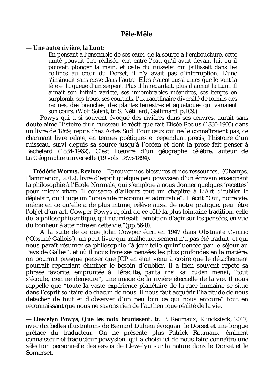## **Pêle-Mêle**

### — **Une autre rivière, la Lunt:**

En pensant à l'ensemble de ses eaux, de la source à l'embouchure, cette unité pouvait être réalisée, car, entre l'eau qu'il avait devant lui, où il pouvait plonger la main, et celle du ruisselet qui jaillissait dans les collines au cœur du Dorset, il n'y avait pas d'interruption. L'une s'insinuait sans cesse dans l'autre. Elles étaient aussi unies que le sont la tête et la queue d'un serpent. Plus il la regardait, plus il aimait la Lunt. Il aimait son infinie variété, ses innombrables méandres, ses berges en surplomb, ses trous, ses courants, l'extraordinaire diversité de formes des racines, des branches, des plantes terrestres et aquatiques qui variaient son cours. (*Wolf Solent*, tr. S. Nétillard, Gallimard, p.109.)

Powys qui a si souvent évoqué des rivières dans ses œuvres, aurait sans doute aimé *Histoire d'un ruisseau* le récit que fait Elisée Reclus (1830-1905) dans un livre de 1869, repris chez Actes Sud. Pour ceux qui ne le connaîtraient pas, ce charmant livre relate, en termes poétiques et cependant précis, l'histoire d'un ruisseau, suivi depuis sa source jusqu'à l'océan et dont la prose fait penser à Bachelard (1884-1962). C'est l'œuvre d'un géographe célèbre, auteur de *La Géographie universelle* (19 vols. 1875-1894).

— **Frédéric Worms,** *Revivre*—*Eprouver nos blessures et nos ressources*, (Champs, Flammarion, 2012), livre d'esprit quelque peu powysien d'un écrivain enseignant la philosophie à l'Ecole Normale, qui s'emploie à nous donner quelques 'recettes' pour mieux vivre. Il consacre d'ailleurs tout un chapitre à *L'Art d'oublier le déplaisir*, qu'il juge un "opuscule méconnu et admirable". Il écrit "Oui, notre vie, même en ce qu'elle a de plus intime, relève aussi de notre pratique, peut être l'objet d'un art. Cowper Powys rejoint de ce côté la plus lointaine tradition, celle de la philosophie antique, qui nourrissait l'ambition d'agir sur les pensées, en vue du bonheur à atteindre en cette vie."(pp.56-8).

A la suite de ce que John Cowper écrit en 1947 dans *Obstinate Cymric* ('Obstiné Gallois'), un petit livre qui, malheureusement n'a pas été traduit, et qui nous paraît résumer sa philosophie "à jour telle qu'influencée par le séjour au Pays de Galles", et où il nous livre ses pensées les plus profondes en la matière, on pourrait presque penser que JCP en était venu à croire que le détachement pourrait cependant éliminer le besoin d'oublier. Il a bien souvent répété sa phrase favorite, empruntée à Héraclite, *panta rhei kai ouden menai*, "tout s'écoule, rien ne demeure", une image de la rivière éternelle de la vie. Il nous rappelle que "toute la vaste expérience planétaire de la race humaine se situe dans l'esprit solitaire de chacun de nous. Il nous faut acquérir l'habitude de nous détacher de tout et d'observer d'un peu loin ce qui nous entoure" tout en reconnaissant que nous ne savons rien de l'authentique réalité de la vie.

— **Llewelyn Powys,** *Que les noix brunissent*, tr. P. Reumaux, Klincksieck, 2017, avec dix belles illustrations de Bernard Duhem évoquant le Dorset et une longue préface du traducteur. On ne présente plus Patrick Reumaux, éminent connaisseur et traducteur powysien, qui a choisi ici de nous faire connaître une sélection personnelle des essais de Llewelyn sur la nature dans le Dorset et le Somerset.